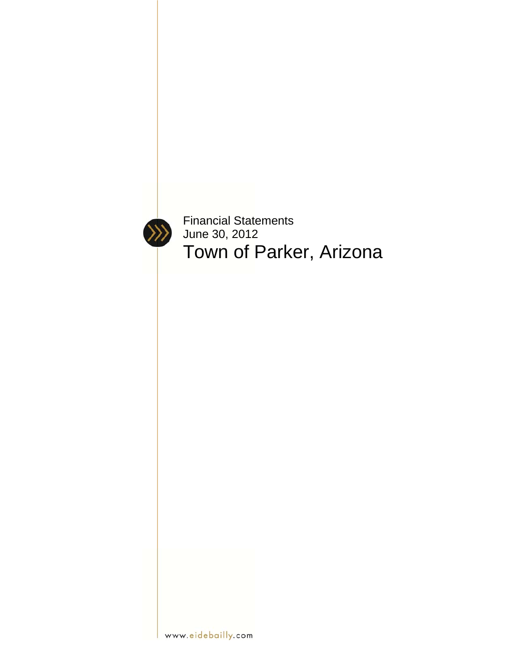

Financial Statements June 30, 2012 Town of Parker, Arizona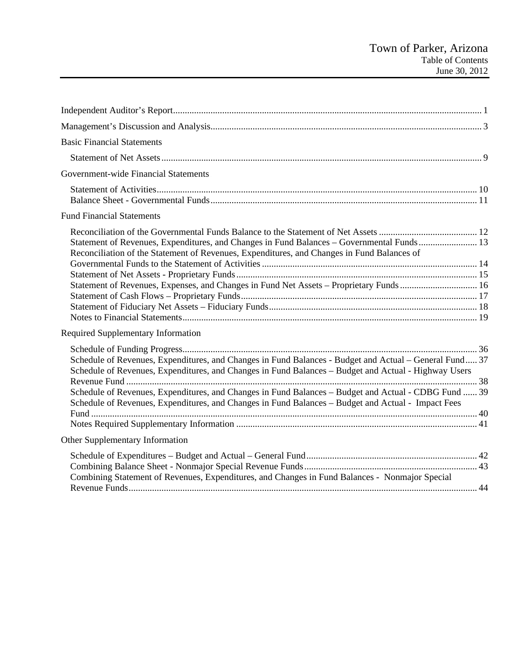| <b>Basic Financial Statements</b>                                                                                                                                                                                                                                                                                                                                                                                            |
|------------------------------------------------------------------------------------------------------------------------------------------------------------------------------------------------------------------------------------------------------------------------------------------------------------------------------------------------------------------------------------------------------------------------------|
|                                                                                                                                                                                                                                                                                                                                                                                                                              |
| Government-wide Financial Statements                                                                                                                                                                                                                                                                                                                                                                                         |
|                                                                                                                                                                                                                                                                                                                                                                                                                              |
| <b>Fund Financial Statements</b>                                                                                                                                                                                                                                                                                                                                                                                             |
| Statement of Revenues, Expenditures, and Changes in Fund Balances – Governmental Funds  13<br>Reconciliation of the Statement of Revenues, Expenditures, and Changes in Fund Balances of<br>Statement of Revenues, Expenses, and Changes in Fund Net Assets - Proprietary Funds  16                                                                                                                                          |
| Required Supplementary Information                                                                                                                                                                                                                                                                                                                                                                                           |
| Schedule of Revenues, Expenditures, and Changes in Fund Balances - Budget and Actual – General Fund 37<br>Schedule of Revenues, Expenditures, and Changes in Fund Balances - Budget and Actual - Highway Users<br>Schedule of Revenues, Expenditures, and Changes in Fund Balances – Budget and Actual - CDBG Fund  39<br>Schedule of Revenues, Expenditures, and Changes in Fund Balances – Budget and Actual - Impact Fees |
| Other Supplementary Information                                                                                                                                                                                                                                                                                                                                                                                              |
| Combining Statement of Revenues, Expenditures, and Changes in Fund Balances - Nonmajor Special                                                                                                                                                                                                                                                                                                                               |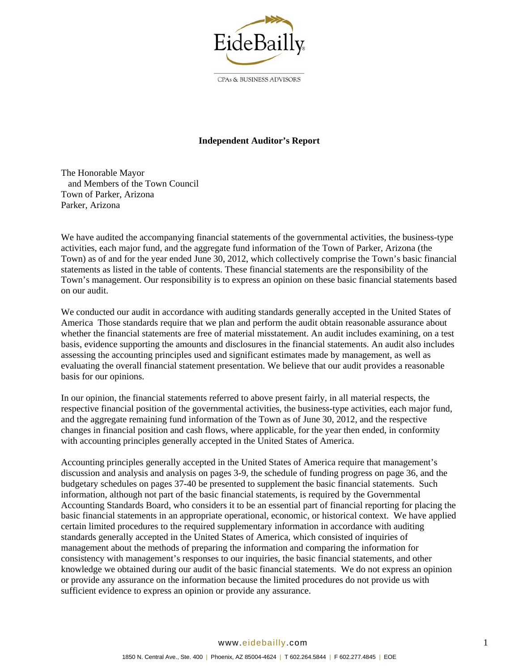

CPAs & BUSINESS ADVISORS

### **Independent Auditor's Report**

The Honorable Mayor and Members of the Town Council Town of Parker, Arizona Parker, Arizona

We have audited the accompanying financial statements of the governmental activities, the business-type activities, each major fund, and the aggregate fund information of the Town of Parker, Arizona (the Town) as of and for the year ended June 30, 2012, which collectively comprise the Town's basic financial statements as listed in the table of contents. These financial statements are the responsibility of the Town's management. Our responsibility is to express an opinion on these basic financial statements based on our audit.

We conducted our audit in accordance with auditing standards generally accepted in the United States of America Those standards require that we plan and perform the audit obtain reasonable assurance about whether the financial statements are free of material misstatement. An audit includes examining, on a test basis, evidence supporting the amounts and disclosures in the financial statements. An audit also includes assessing the accounting principles used and significant estimates made by management, as well as evaluating the overall financial statement presentation. We believe that our audit provides a reasonable basis for our opinions.

In our opinion, the financial statements referred to above present fairly, in all material respects, the respective financial position of the governmental activities, the business-type activities, each major fund, and the aggregate remaining fund information of the Town as of June 30, 2012, and the respective changes in financial position and cash flows, where applicable, for the year then ended, in conformity with accounting principles generally accepted in the United States of America.

Accounting principles generally accepted in the United States of America require that management's discussion and analysis and analysis on pages 3-9, the schedule of funding progress on page 36, and the budgetary schedules on pages 37-40 be presented to supplement the basic financial statements. Such information, although not part of the basic financial statements, is required by the Governmental Accounting Standards Board, who considers it to be an essential part of financial reporting for placing the basic financial statements in an appropriate operational, economic, or historical context. We have applied certain limited procedures to the required supplementary information in accordance with auditing standards generally accepted in the United States of America, which consisted of inquiries of management about the methods of preparing the information and comparing the information for consistency with management's responses to our inquiries, the basic financial statements, and other knowledge we obtained during our audit of the basic financial statements. We do not express an opinion or provide any assurance on the information because the limited procedures do not provide us with sufficient evidence to express an opinion or provide any assurance.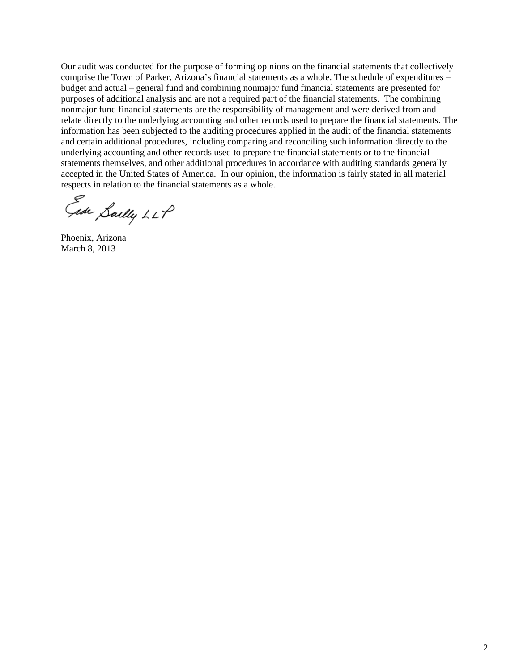Our audit was conducted for the purpose of forming opinions on the financial statements that collectively comprise the Town of Parker, Arizona's financial statements as a whole. The schedule of expenditures – budget and actual – general fund and combining nonmajor fund financial statements are presented for purposes of additional analysis and are not a required part of the financial statements. The combining nonmajor fund financial statements are the responsibility of management and were derived from and relate directly to the underlying accounting and other records used to prepare the financial statements. The information has been subjected to the auditing procedures applied in the audit of the financial statements and certain additional procedures, including comparing and reconciling such information directly to the underlying accounting and other records used to prepare the financial statements or to the financial statements themselves, and other additional procedures in accordance with auditing standards generally accepted in the United States of America. In our opinion, the information is fairly stated in all material respects in relation to the financial statements as a whole.

Gide Sailly LLP

Phoenix, Arizona March 8, 2013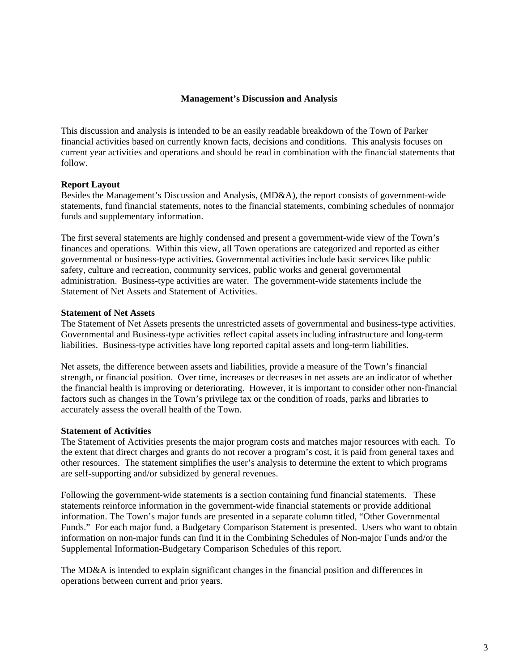#### **Management's Discussion and Analysis**

This discussion and analysis is intended to be an easily readable breakdown of the Town of Parker financial activities based on currently known facts, decisions and conditions. This analysis focuses on current year activities and operations and should be read in combination with the financial statements that follow.

#### **Report Layout**

Besides the Management's Discussion and Analysis, (MD&A), the report consists of government-wide statements, fund financial statements, notes to the financial statements, combining schedules of nonmajor funds and supplementary information.

The first several statements are highly condensed and present a government-wide view of the Town's finances and operations. Within this view, all Town operations are categorized and reported as either governmental or business-type activities. Governmental activities include basic services like public safety, culture and recreation, community services, public works and general governmental administration. Business-type activities are water. The government-wide statements include the Statement of Net Assets and Statement of Activities.

#### **Statement of Net Assets**

The Statement of Net Assets presents the unrestricted assets of governmental and business-type activities. Governmental and Business-type activities reflect capital assets including infrastructure and long-term liabilities. Business-type activities have long reported capital assets and long-term liabilities.

Net assets, the difference between assets and liabilities, provide a measure of the Town's financial strength, or financial position. Over time, increases or decreases in net assets are an indicator of whether the financial health is improving or deteriorating. However, it is important to consider other non-financial factors such as changes in the Town's privilege tax or the condition of roads, parks and libraries to accurately assess the overall health of the Town.

#### **Statement of Activities**

The Statement of Activities presents the major program costs and matches major resources with each. To the extent that direct charges and grants do not recover a program's cost, it is paid from general taxes and other resources. The statement simplifies the user's analysis to determine the extent to which programs are self-supporting and/or subsidized by general revenues.

Following the government-wide statements is a section containing fund financial statements. These statements reinforce information in the government-wide financial statements or provide additional information. The Town's major funds are presented in a separate column titled, "Other Governmental Funds." For each major fund, a Budgetary Comparison Statement is presented. Users who want to obtain information on non-major funds can find it in the Combining Schedules of Non-major Funds and/or the Supplemental Information-Budgetary Comparison Schedules of this report.

The MD&A is intended to explain significant changes in the financial position and differences in operations between current and prior years.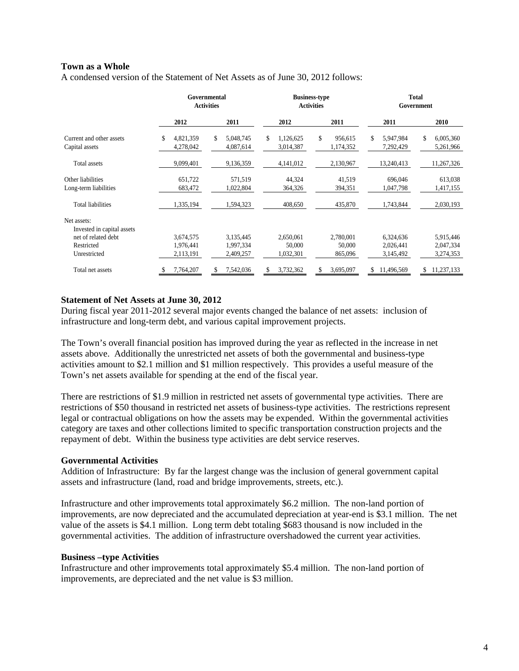### **Town as a Whole**

A condensed version of the Statement of Net Assets as of June 30, 2012 follows:

|                                                                                                |                                     | Governmental<br><b>Activities</b>   |                                  | <b>Business-type</b><br><b>Activities</b> | <b>Total</b><br>Government          |                                     |  |  |
|------------------------------------------------------------------------------------------------|-------------------------------------|-------------------------------------|----------------------------------|-------------------------------------------|-------------------------------------|-------------------------------------|--|--|
|                                                                                                | 2012                                | 2011                                | 2012                             | 2011                                      | 2011                                | 2010                                |  |  |
| Current and other assets<br>Capital assets                                                     | \$<br>4,821,359<br>4,278,042        | \$.<br>5,048,745<br>4,087,614       | \$<br>1,126,625<br>3,014,387     | \$<br>956,615<br>1,174,352                | \$.<br>5,947,984<br>7,292,429       | \$<br>6,005,360<br>5,261,966        |  |  |
| Total assets                                                                                   | 9,099,401                           | 9,136,359                           | 4,141,012                        | 2,130,967                                 | 13,240,413                          | 11,267,326                          |  |  |
| Other liabilities<br>Long-term liabilities                                                     | 651,722<br>683,472                  | 571,519<br>1,022,804                | 44,324<br>364,326                | 41,519<br>394,351                         | 696,046<br>1,047,798                | 613,038<br>1,417,155                |  |  |
| <b>Total liabilities</b>                                                                       | 1,335,194                           | 1,594,323                           | 408,650                          | 435,870                                   | 1,743,844                           | 2,030,193                           |  |  |
| Net assets:<br>Invested in capital assets<br>net of related debt<br>Restricted<br>Unrestricted | 3,674,575<br>1,976,441<br>2,113,191 | 3,135,445<br>1,997,334<br>2,409,257 | 2,650,061<br>50,000<br>1,032,301 | 2,780,001<br>50,000<br>865,096            | 6,324,636<br>2,026,441<br>3,145,492 | 5,915,446<br>2,047,334<br>3,274,353 |  |  |
| Total net assets                                                                               | 7,764,207<br>S                      | 7,542,036<br>\$                     | 3,732,362<br>S                   | 3,695,097                                 | 11,496,569                          | 11,237,133<br>\$                    |  |  |

#### **Statement of Net Assets at June 30, 2012**

During fiscal year 2011-2012 several major events changed the balance of net assets: inclusion of infrastructure and long-term debt, and various capital improvement projects.

The Town's overall financial position has improved during the year as reflected in the increase in net assets above. Additionally the unrestricted net assets of both the governmental and business-type activities amount to \$2.1 million and \$1 million respectively. This provides a useful measure of the Town's net assets available for spending at the end of the fiscal year.

There are restrictions of \$1.9 million in restricted net assets of governmental type activities. There are restrictions of \$50 thousand in restricted net assets of business-type activities. The restrictions represent legal or contractual obligations on how the assets may be expended. Within the governmental activities category are taxes and other collections limited to specific transportation construction projects and the repayment of debt. Within the business type activities are debt service reserves.

### **Governmental Activities**

Addition of Infrastructure: By far the largest change was the inclusion of general government capital assets and infrastructure (land, road and bridge improvements, streets, etc.).

Infrastructure and other improvements total approximately \$6.2 million. The non-land portion of improvements, are now depreciated and the accumulated depreciation at year-end is \$3.1 million. The net value of the assets is \$4.1 million. Long term debt totaling \$683 thousand is now included in the governmental activities. The addition of infrastructure overshadowed the current year activities.

#### **Business –type Activities**

Infrastructure and other improvements total approximately \$5.4 million. The non-land portion of improvements, are depreciated and the net value is \$3 million.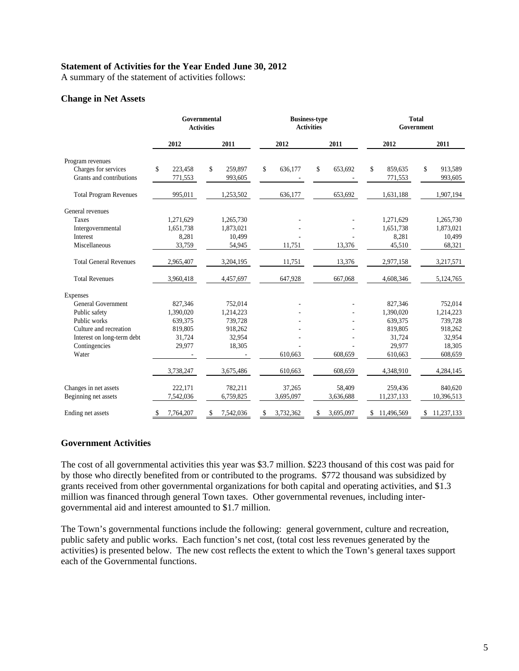#### **Statement of Activities for the Year Ended June 30, 2012**

A summary of the statement of activities follows:

#### **Change in Net Assets**

|                                                  |                          | Governmental<br><b>Activities</b> |                 | <b>Business-type</b><br><b>Activities</b> | <b>Total</b><br>Government |                          |
|--------------------------------------------------|--------------------------|-----------------------------------|-----------------|-------------------------------------------|----------------------------|--------------------------|
|                                                  | 2012                     | 2011                              | 2012            | 2011                                      | 2012                       | 2011                     |
| Program revenues                                 |                          |                                   |                 |                                           |                            |                          |
| Charges for services<br>Grants and contributions | \$<br>223,458<br>771,553 | \$<br>259,897<br>993,605          | \$<br>636,177   | \$<br>653,692                             | \$<br>859,635<br>771,553   | \$<br>913,589<br>993,605 |
| <b>Total Program Revenues</b>                    | 995,011                  | 1,253,502                         | 636,177         | 653,692                                   | 1,631,188                  | 1,907,194                |
| General revenues                                 |                          |                                   |                 |                                           |                            |                          |
| Taxes                                            | 1,271,629                | 1,265,730                         |                 |                                           | 1,271,629                  | 1,265,730                |
| Intergovernmental                                | 1,651,738                | 1,873,021                         |                 |                                           | 1,651,738                  | 1,873,021                |
| Interest                                         | 8,281                    | 10.499                            |                 |                                           | 8,281                      | 10,499                   |
| Miscellaneous                                    | 33,759                   | 54,945                            | 11,751          | 13,376                                    | 45,510                     | 68,321                   |
| <b>Total General Revenues</b>                    | 2,965,407                | 3,204,195                         | 11,751          | 13,376                                    | 2,977,158                  | 3,217,571                |
| <b>Total Revenues</b>                            | 3,960,418                | 4,457,697                         | 647,928         | 667,068                                   | 4,608,346                  | 5,124,765                |
| Expenses                                         |                          |                                   |                 |                                           |                            |                          |
| <b>General Government</b>                        | 827,346                  | 752,014                           |                 |                                           | 827,346                    | 752,014                  |
| Public safety                                    | 1,390,020                | 1,214,223                         |                 |                                           | 1,390,020                  | 1,214,223                |
| Public works                                     | 639,375                  | 739,728                           |                 |                                           | 639,375                    | 739,728                  |
| Culture and recreation                           | 819,805                  | 918,262                           |                 |                                           | 819.805                    | 918,262                  |
| Interest on long-term debt                       | 31.724                   | 32,954                            |                 |                                           | 31.724                     | 32,954                   |
| Contingencies                                    | 29,977                   | 18,305                            |                 |                                           | 29,977                     | 18,305                   |
| Water                                            |                          |                                   | 610,663         | 608,659                                   | 610,663                    | 608,659                  |
|                                                  | 3,738,247                | 3,675,486                         | 610,663         | 608,659                                   | 4,348,910                  | 4,284,145                |
| Changes in net assets                            | 222,171                  | 782,211                           | 37,265          | 58,409                                    | 259,436                    | 840,620                  |
| Beginning net assets                             | 7,542,036                | 6,759,825                         | 3,695,097       | 3,636,688                                 | 11,237,133                 | 10,396,513               |
| Ending net assets                                | \$<br>7,764,207          | \$<br>7.542.036                   | \$<br>3,732,362 | \$<br>3.695.097                           | \$<br>11.496.569           | 11,237,133<br>\$         |

#### **Government Activities**

The cost of all governmental activities this year was \$3.7 million. \$223 thousand of this cost was paid for by those who directly benefited from or contributed to the programs. \$772 thousand was subsidized by grants received from other governmental organizations for both capital and operating activities, and \$1.3 million was financed through general Town taxes. Other governmental revenues, including intergovernmental aid and interest amounted to \$1.7 million.

The Town's governmental functions include the following: general government, culture and recreation, public safety and public works. Each function's net cost, (total cost less revenues generated by the activities) is presented below. The new cost reflects the extent to which the Town's general taxes support each of the Governmental functions.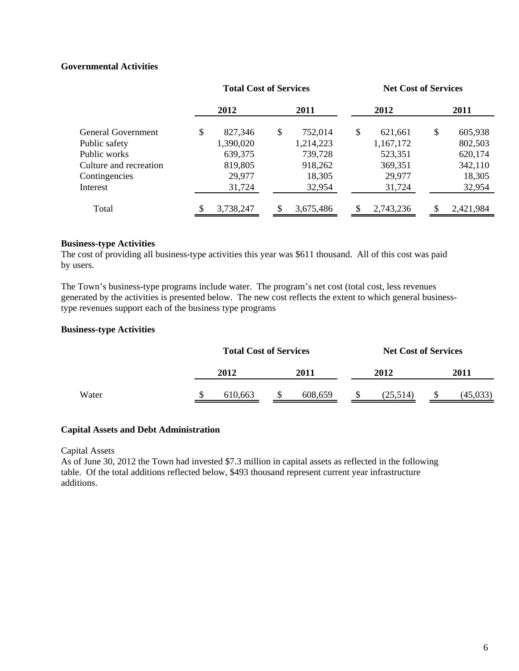## **Governmental Activities**

|                        |      | <b>Total Cost of Services</b> |               | <b>Net Cost of Services</b> |    |           |
|------------------------|------|-------------------------------|---------------|-----------------------------|----|-----------|
|                        | 2012 |                               | 2011          | 2012                        |    | 2011      |
| General Government     | \$   | 827,346                       | \$<br>752,014 | \$<br>621,661               | \$ | 605,938   |
| Public safety          |      | 1,390,020                     | 1,214,223     | 1,167,172                   |    | 802,503   |
| Public works           |      | 639,375                       | 739,728       | 523,351                     |    | 620,174   |
| Culture and recreation |      | 819,805                       | 918,262       | 369,351                     |    | 342,110   |
| Contingencies          |      | 29,977                        | 18,305        | 29,977                      |    | 18,305    |
| Interest               |      | 31,724                        | 32,954        | 31,724                      |    | 32,954    |
| Total                  | S    | 3,738,247                     | 3,675,486     | 2,743,236                   | S  | 2,421,984 |

#### **Business-type Activities**

The cost of providing all business-type activities this year was \$611 thousand. All of this cost was paid by users.

The Town's business-type programs include water. The program's net cost (total cost, less revenues generated by the activities is presented below. The new cost reflects the extent to which general businesstype revenues support each of the business type programs

#### **Business-type Activities**

|       | <b>Total Cost of Services</b> |  |         | <b>Net Cost of Services</b> |      |          |  |
|-------|-------------------------------|--|---------|-----------------------------|------|----------|--|
|       | 2012                          |  | 2011    | 2012                        | 2011 |          |  |
| Water | 610,663                       |  | 608,659 | (25,514)                    |      | (45,033) |  |

#### **Capital Assets and Debt Administration**

Capital Assets

As of June 30, 2012 the Town had invested \$7.3 million in capital assets as reflected in the following table. Of the total additions reflected below, \$493 thousand represent current year infrastructure additions.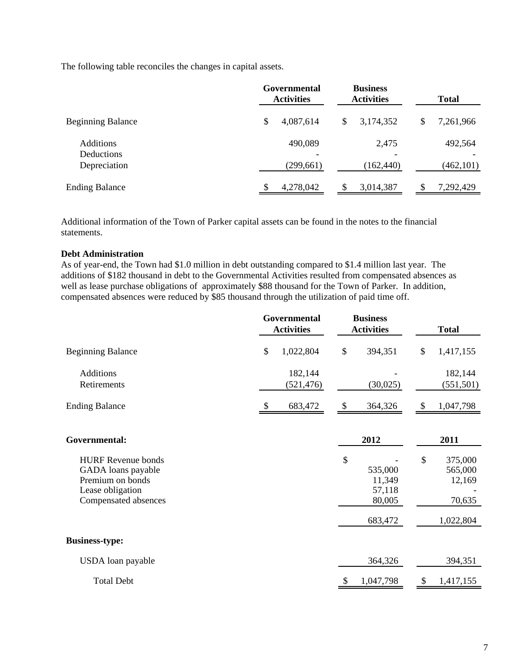The following table reconciles the changes in capital assets.

|                          | Governmental<br><b>Activities</b> | <b>Business</b><br><b>Activities</b> | <b>Total</b>    |  |  |
|--------------------------|-----------------------------------|--------------------------------------|-----------------|--|--|
| <b>Beginning Balance</b> | \$<br>4,087,614                   | 3,174,352<br>\$                      | 7,261,966<br>\$ |  |  |
| Additions<br>Deductions  | 490,089                           | 2,475                                | 492,564         |  |  |
| Depreciation             | (299, 661)                        | (162, 440)                           | (462, 101)      |  |  |
| <b>Ending Balance</b>    | 4,278,042                         | 3,014,387                            | 7,292,429       |  |  |

Additional information of the Town of Parker capital assets can be found in the notes to the financial statements.

#### **Debt Administration**

As of year-end, the Town had \$1.0 million in debt outstanding compared to \$1.4 million last year. The additions of \$182 thousand in debt to the Governmental Activities resulted from compensated absences as well as lease purchase obligations of approximately \$88 thousand for the Town of Parker. In addition, compensated absences were reduced by \$85 thousand through the utilization of paid time off.

|                                                                                                                 | Governmental<br><b>Activities</b> | <b>Business</b><br><b>Activities</b>                   | <b>Total</b>                                              |  |  |
|-----------------------------------------------------------------------------------------------------------------|-----------------------------------|--------------------------------------------------------|-----------------------------------------------------------|--|--|
| <b>Beginning Balance</b>                                                                                        | \$<br>1,022,804                   | \$<br>394,351                                          | \$<br>1,417,155                                           |  |  |
| <b>Additions</b><br>Retirements                                                                                 | 182,144<br>(521, 476)             | (30,025)                                               | 182,144<br>(551, 501)                                     |  |  |
| <b>Ending Balance</b>                                                                                           | 683,472<br>$\frac{1}{2}$          | 364,326<br>$\boldsymbol{\mathsf{S}}$                   | 1,047,798<br>$\mathcal{S}$                                |  |  |
| Governmental:                                                                                                   |                                   | 2012                                                   | 2011                                                      |  |  |
| <b>HURF Revenue bonds</b><br>GADA loans payable<br>Premium on bonds<br>Lease obligation<br>Compensated absences |                                   | \$<br>535,000<br>11,349<br>57,118<br>80,005<br>683,472 | \$<br>375,000<br>565,000<br>12,169<br>70,635<br>1,022,804 |  |  |
| <b>Business-type:</b>                                                                                           |                                   |                                                        |                                                           |  |  |
| USDA loan payable                                                                                               |                                   | 364,326                                                | 394,351                                                   |  |  |
| <b>Total Debt</b>                                                                                               |                                   | 1,047,798<br>S                                         | 1,417,155<br>\$                                           |  |  |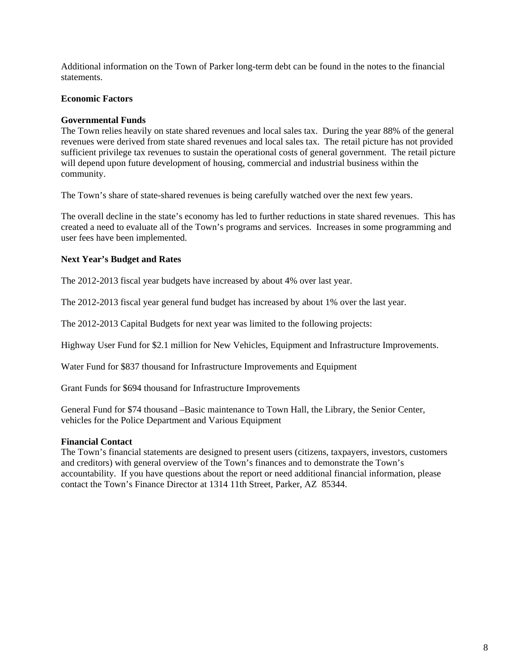Additional information on the Town of Parker long-term debt can be found in the notes to the financial statements.

### **Economic Factors**

### **Governmental Funds**

The Town relies heavily on state shared revenues and local sales tax. During the year 88% of the general revenues were derived from state shared revenues and local sales tax. The retail picture has not provided sufficient privilege tax revenues to sustain the operational costs of general government. The retail picture will depend upon future development of housing, commercial and industrial business within the community.

The Town's share of state-shared revenues is being carefully watched over the next few years.

The overall decline in the state's economy has led to further reductions in state shared revenues. This has created a need to evaluate all of the Town's programs and services. Increases in some programming and user fees have been implemented.

# **Next Year's Budget and Rates**

The 2012-2013 fiscal year budgets have increased by about 4% over last year.

The 2012-2013 fiscal year general fund budget has increased by about 1% over the last year.

The 2012-2013 Capital Budgets for next year was limited to the following projects:

Highway User Fund for \$2.1 million for New Vehicles, Equipment and Infrastructure Improvements.

Water Fund for \$837 thousand for Infrastructure Improvements and Equipment

Grant Funds for \$694 thousand for Infrastructure Improvements

General Fund for \$74 thousand –Basic maintenance to Town Hall, the Library, the Senior Center, vehicles for the Police Department and Various Equipment

### **Financial Contact**

The Town's financial statements are designed to present users (citizens, taxpayers, investors, customers and creditors) with general overview of the Town's finances and to demonstrate the Town's accountability. If you have questions about the report or need additional financial information, please contact the Town's Finance Director at 1314 11th Street, Parker, AZ 85344.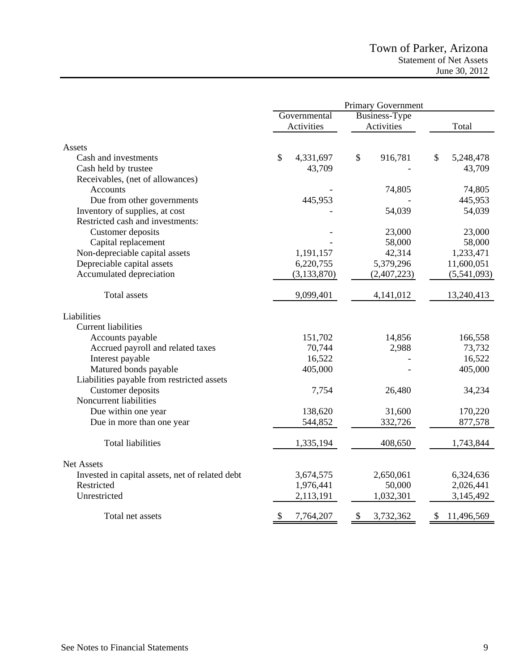|                                                 |                 | <b>Primary Government</b> |                  |
|-------------------------------------------------|-----------------|---------------------------|------------------|
|                                                 | Governmental    | <b>Business-Type</b>      |                  |
|                                                 | Activities      | Activities                | Total            |
| Assets                                          |                 |                           |                  |
| Cash and investments                            | \$<br>4,331,697 | \$<br>916,781             | \$<br>5,248,478  |
| Cash held by trustee                            | 43,709          |                           | 43,709           |
| Receivables, (net of allowances)                |                 |                           |                  |
| Accounts                                        |                 | 74,805                    | 74,805           |
| Due from other governments                      | 445,953         |                           | 445,953          |
| Inventory of supplies, at cost                  |                 | 54,039                    | 54,039           |
| Restricted cash and investments:                |                 |                           |                  |
| Customer deposits                               |                 | 23,000                    | 23,000           |
| Capital replacement                             |                 | 58,000                    | 58,000           |
| Non-depreciable capital assets                  | 1,191,157       | 42,314                    | 1,233,471        |
| Depreciable capital assets                      | 6,220,755       | 5,379,296                 | 11,600,051       |
| Accumulated depreciation                        | (3, 133, 870)   | (2,407,223)               | (5,541,093)      |
|                                                 |                 |                           |                  |
| <b>Total assets</b>                             | 9,099,401       | 4,141,012                 | 13,240,413       |
| Liabilities                                     |                 |                           |                  |
| <b>Current liabilities</b>                      |                 |                           |                  |
| Accounts payable                                | 151,702         | 14,856                    | 166,558          |
| Accrued payroll and related taxes               | 70,744          | 2,988                     | 73,732           |
| Interest payable                                | 16,522          |                           | 16,522           |
| Matured bonds payable                           | 405,000         |                           | 405,000          |
| Liabilities payable from restricted assets      |                 |                           |                  |
| Customer deposits                               | 7,754           | 26,480                    | 34,234           |
| Noncurrent liabilities                          |                 |                           |                  |
| Due within one year                             | 138,620         | 31,600                    | 170,220          |
| Due in more than one year                       | 544,852         | 332,726                   | 877,578          |
|                                                 |                 |                           |                  |
| <b>Total liabilities</b>                        | 1,335,194       | 408,650                   | 1,743,844        |
| <b>Net Assets</b>                               |                 |                           |                  |
| Invested in capital assets, net of related debt | 3,674,575       | 2,650,061                 | 6,324,636        |
| Restricted                                      | 1,976,441       | 50,000                    | 2,026,441        |
| Unrestricted                                    | 2,113,191       | 1,032,301                 | 3,145,492        |
| Total net assets                                | \$<br>7,764,207 | \$<br>3,732,362           | \$<br>11,496,569 |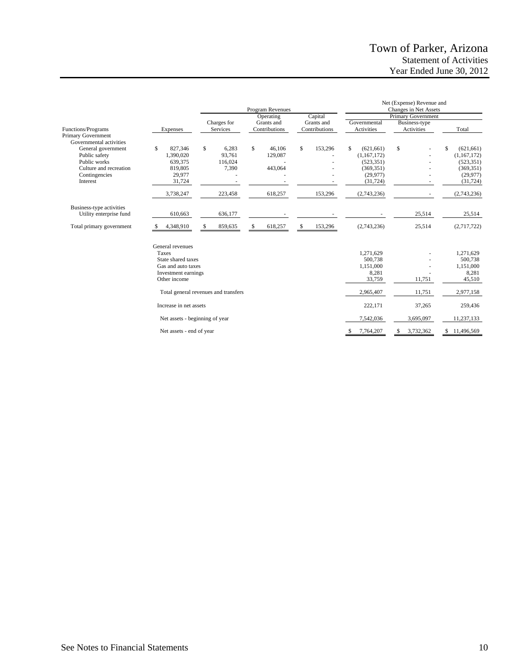# Town of Parker, Arizona Statement of Activities Year Ended June 30, 2012

|                                               |                                      |             |          |               | Program Revenues        |    |                       |            |              |            | Net (Expense) Revenue and<br>Changes in Net Assets |       |             |  |
|-----------------------------------------------|--------------------------------------|-------------|----------|---------------|-------------------------|----|-----------------------|------------|--------------|------------|----------------------------------------------------|-------|-------------|--|
|                                               |                                      | Charges for |          |               | Operating<br>Grants and |    | Capital<br>Grants and |            | Governmental |            | Primary Government<br>Business-type                |       |             |  |
| <b>Functions/Programs</b>                     | Expenses                             |             | Services | Contributions |                         |    | Contributions         | Activities |              | Activities |                                                    | Total |             |  |
| Primary Government<br>Governmental activities |                                      |             |          |               |                         |    |                       |            |              |            |                                                    |       |             |  |
| General government                            | \$<br>827,346                        | \$          | 6,283    | \$            | 46.106                  | \$ | 153,296               | \$         | (621, 661)   | \$         |                                                    | \$    | (621, 661)  |  |
| Public safety                                 | 1,390,020                            |             | 93,761   |               | 129,087                 |    |                       |            | (1,167,172)  |            |                                                    |       | (1,167,172) |  |
| Public works                                  | 639,375                              |             | 116,024  |               |                         |    |                       |            | (523, 351)   |            |                                                    |       | (523, 351)  |  |
| Culture and recreation                        | 819,805                              |             | 7,390    |               | 443,064                 |    |                       |            | (369, 351)   |            |                                                    |       | (369, 351)  |  |
| Contingencies                                 | 29,977                               |             |          |               |                         |    |                       |            | (29, 977)    |            |                                                    |       | (29, 977)   |  |
| Interest                                      | 31,724                               |             |          |               |                         |    |                       |            | (31, 724)    |            |                                                    |       | (31, 724)   |  |
|                                               | 3,738,247                            |             | 223,458  |               | 618,257                 |    | 153,296               |            | (2,743,236)  |            |                                                    |       | (2,743,236) |  |
| Business-type activities                      |                                      |             |          |               |                         |    |                       |            |              |            |                                                    |       |             |  |
| Utility enterprise fund                       | 610,663                              |             | 636,177  |               |                         |    |                       |            |              |            | 25,514                                             |       | 25,514      |  |
| Total primary government                      | 4,348,910                            | -S          | 859,635  | -S            | 618,257                 | \$ | 153,296               |            | (2,743,236)  |            | 25,514                                             |       | (2,717,722) |  |
|                                               | General revenues                     |             |          |               |                         |    |                       |            |              |            |                                                    |       |             |  |
|                                               | Taxes                                |             |          |               |                         |    |                       |            | 1,271,629    |            |                                                    |       | 1,271,629   |  |
|                                               | State shared taxes                   |             |          |               |                         |    |                       |            | 500,738      |            |                                                    |       | 500,738     |  |
|                                               | Gas and auto taxes                   |             |          |               |                         |    |                       |            | 1,151,000    |            |                                                    |       | 1,151,000   |  |
|                                               | Investment earnings                  |             |          |               |                         |    |                       |            | 8,281        |            |                                                    |       | 8,281       |  |
|                                               | Other income                         |             |          |               |                         |    |                       |            | 33,759       |            | 11,751                                             |       | 45,510      |  |
|                                               | Total general revenues and transfers |             |          |               |                         |    |                       |            | 2,965,407    |            | 11,751                                             |       | 2,977,158   |  |
|                                               | Increase in net assets               |             |          |               |                         |    |                       |            | 222,171      |            | 37,265                                             |       | 259,436     |  |
|                                               | Net assets - beginning of year       |             |          |               |                         |    |                       |            | 7,542,036    |            | 3,695,097                                          |       | 11,237,133  |  |
|                                               | Net assets - end of year             |             |          |               |                         |    |                       | \$         | 7,764,207    | S          | 3,732,362                                          | \$    | 11,496,569  |  |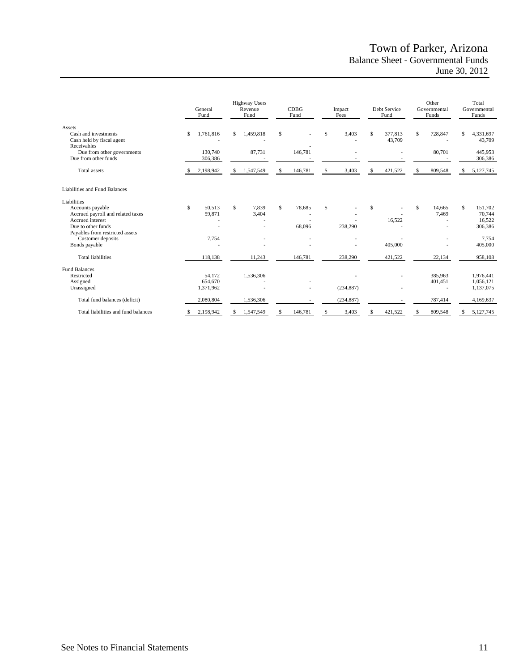# Town of Parker, Arizona Balance Sheet - Governmental Funds June 30, 2012

|                                                                                                                |    | General<br>Fund                |              | <b>Highway Users</b><br>Revenue<br>Fund |    | <b>CDBG</b><br>Fund |    | Impact<br>Fees | Debt Service<br>Fund    |    | Other<br>Governmental<br>Funds |     | Total<br>Governmental<br>Funds         |
|----------------------------------------------------------------------------------------------------------------|----|--------------------------------|--------------|-----------------------------------------|----|---------------------|----|----------------|-------------------------|----|--------------------------------|-----|----------------------------------------|
| Assets<br>Cash and investments<br>Cash held by fiscal agent<br>Receivables                                     | S  | 1,761,816                      | \$           | 1,459,818                               | \$ |                     | S  | 3,403          | \$<br>377,813<br>43,709 | \$ | 728,847                        | \$. | 4,331,697<br>43,709                    |
| Due from other governments<br>Due from other funds                                                             |    | 130,740<br>306,386             |              | 87,731                                  |    | 146,781             |    |                |                         |    | 80,701                         |     | 445,953<br>306,386                     |
| Total assets                                                                                                   |    | 2,198,942                      | S.           | 1,547,549                               | \$ | 146,781             | S  | 3,403          | \$<br>421,522           | -S | 809,548                        | S   | 5,127,745                              |
| Liabilities and Fund Balances                                                                                  |    |                                |              |                                         |    |                     |    |                |                         |    |                                |     |                                        |
| Liabilities<br>Accounts payable<br>Accrued payroll and related taxes<br>Accrued interest<br>Due to other funds | \$ | 50,513<br>59,871               | $\mathbb{S}$ | 7.839<br>3,404                          | \$ | 78,685<br>68,096    | \$ | 238,290        | \$<br>16,522            | \$ | 14,665<br>7,469                | \$  | 151,702<br>70.744<br>16,522<br>306,386 |
| Payables from restricted assets<br>Customer deposits<br>Bonds payable                                          |    | 7,754                          |              |                                         |    |                     |    |                | 405,000                 |    |                                |     | 7,754<br>405,000                       |
| <b>Total liabilities</b>                                                                                       |    | 118,138                        |              | 11,243                                  |    | 146,781             |    | 238,290        | 421,522                 |    | 22,134                         |     | 958,108                                |
| <b>Fund Balances</b><br>Restricted<br>Assigned<br>Unassigned                                                   |    | 54.172<br>654,670<br>1,371,962 |              | 1,536,306                               |    |                     |    | (234, 887)     |                         |    | 385,963<br>401,451             |     | 1.976.441<br>1,056,121<br>1,137,075    |
| Total fund balances (deficit)                                                                                  |    | 2,080,804                      |              | 1,536,306                               |    |                     |    | (234, 887)     |                         |    | 787,414                        |     | 4,169,637                              |
| Total liabilities and fund balances                                                                            |    | 2,198,942                      | \$           | 1,547,549                               | S  | 146,781             | \$ | 3,403          | \$<br>421,522           | \$ | 809,548                        |     | 5,127,745                              |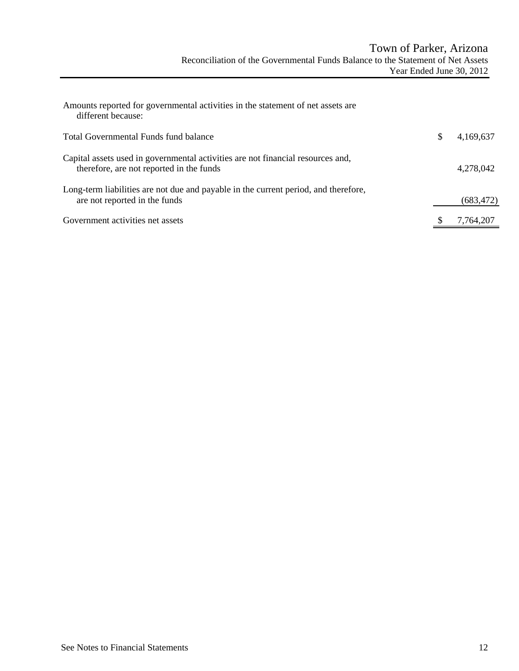| Amounts reported for governmental activities in the statement of net assets are<br>different because:                       |   |            |
|-----------------------------------------------------------------------------------------------------------------------------|---|------------|
| Total Governmental Funds fund balance                                                                                       | S | 4,169,637  |
| Capital assets used in governmental activities are not financial resources and,<br>therefore, are not reported in the funds |   | 4,278,042  |
| Long-term liabilities are not due and payable in the current period, and therefore,<br>are not reported in the funds        |   | (683, 472) |
| Government activities net assets                                                                                            |   | 7,764,207  |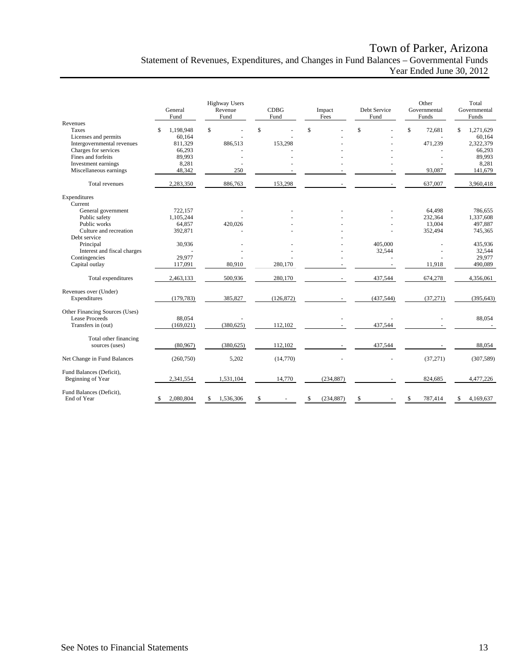# Town of Parker, Arizona Statement of Revenues, Expenditures, and Changes in Fund Balances – Governmental Funds Year Ended June 30, 2012

|                                               | General<br>Fund     | <b>Highway Users</b><br>Revenue<br>Fund | <b>CDBG</b><br>Fund | Impact<br>Fees   | Debt Service<br>Fund | Other<br>Governmental<br>Funds | Total<br>Governmental<br>Funds |  |
|-----------------------------------------------|---------------------|-----------------------------------------|---------------------|------------------|----------------------|--------------------------------|--------------------------------|--|
| Revenues                                      | 1,198,948           | $\mathsf{\$}$                           | \$                  | \$               | \$                   | \$                             |                                |  |
| Taxes<br>Licenses and permits                 | \$<br>60,164        |                                         |                     |                  |                      | 72,681                         | \$<br>1,271,629<br>60,164      |  |
| Intergovernmental revenues                    | 811,329             | 886,513                                 | 153,298             |                  |                      | 471,239                        | 2,322,379                      |  |
| Charges for services                          | 66,293              |                                         |                     |                  |                      |                                | 66,293                         |  |
| Fines and forfeits                            | 89,993              |                                         |                     |                  |                      |                                | 89,993                         |  |
| Investment earnings                           | 8,281               |                                         |                     |                  |                      |                                | 8,281                          |  |
| Miscellaneous earnings                        | 48,342              | 250                                     |                     |                  |                      | 93,087                         | 141,679                        |  |
| Total revenues                                | 2,283,350           | 886,763                                 | 153,298             |                  |                      | 637,007                        | 3,960,418                      |  |
| Expenditures                                  |                     |                                         |                     |                  |                      |                                |                                |  |
| Current                                       |                     |                                         |                     |                  |                      |                                |                                |  |
| General government                            | 722,157             |                                         |                     |                  |                      | 64,498                         | 786,655                        |  |
| Public safety<br>Public works                 | 1,105,244<br>64,857 | 420,026                                 |                     |                  |                      | 232,364<br>13,004              | 1,337,608<br>497,887           |  |
| Culture and recreation                        |                     |                                         |                     |                  |                      | 352,494                        |                                |  |
| Debt service                                  | 392,871             |                                         |                     |                  |                      |                                | 745,365                        |  |
| Principal                                     | 30,936              |                                         |                     |                  | 405,000              |                                | 435,936                        |  |
| Interest and fiscal charges                   |                     |                                         |                     |                  | 32,544               |                                | 32,544                         |  |
| Contingencies                                 | 29,977              |                                         |                     |                  |                      |                                | 29,977                         |  |
| Capital outlay                                | 117,091             | 80,910                                  | 280,170             |                  |                      | 11,918                         | 490,089                        |  |
| Total expenditures                            | 2,463,133           | 500,936                                 | 280,170             |                  | 437,544              | 674,278                        | 4,356,061                      |  |
| Revenues over (Under)                         |                     |                                         |                     |                  |                      |                                |                                |  |
| Expenditures                                  | (179, 783)          | 385,827                                 | (126, 872)          |                  | (437, 544)           | (37, 271)                      | (395, 643)                     |  |
| Other Financing Sources (Uses)                |                     |                                         |                     |                  |                      |                                |                                |  |
| <b>Lease Proceeds</b>                         | 88,054              |                                         |                     |                  |                      |                                | 88,054                         |  |
| Transfers in (out)                            | (169, 021)          | (380, 625)                              | 112,102             |                  | 437,544              |                                |                                |  |
| Total other financing                         |                     |                                         |                     |                  |                      |                                |                                |  |
| sources (uses)                                | (80,967)            | (380, 625)                              | 112,102             |                  | 437,544              |                                | 88,054                         |  |
| Net Change in Fund Balances                   | (260, 750)          | 5,202                                   | (14,770)            |                  |                      | (37, 271)                      | (307, 589)                     |  |
| Fund Balances (Deficit),<br>Beginning of Year | 2,341,554           | 1,531,104                               | 14,770              | (234, 887)       |                      | 824,685                        | 4,477,226                      |  |
| Fund Balances (Deficit),<br>End of Year       | 2,080,804<br>-\$    | 1,536,306<br>\$                         | \$                  | (234, 887)<br>\$ | \$                   | 787,414<br>\$                  | 4,169,637<br>\$                |  |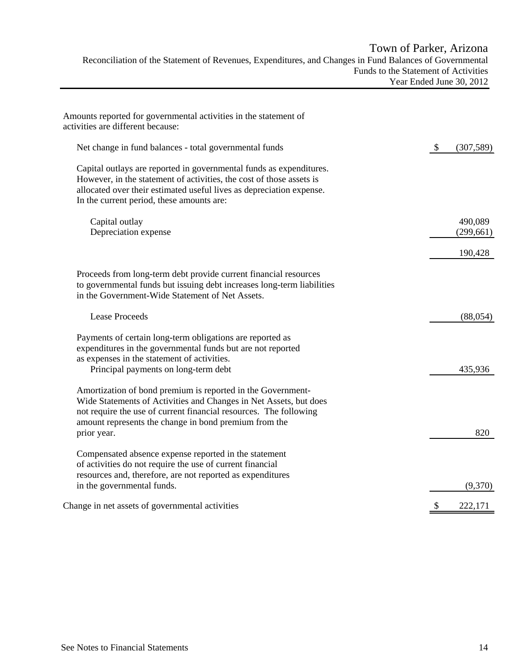# Town of Parker, Arizona Reconciliation of the Statement of Revenues, Expenditures, and Changes in Fund Balances of Governmental Funds to the Statement of Activities Year Ended June 30, 2012

| Amounts reported for governmental activities in the statement of<br>activities are different because:                                                                                                                                                                         |                       |
|-------------------------------------------------------------------------------------------------------------------------------------------------------------------------------------------------------------------------------------------------------------------------------|-----------------------|
| Net change in fund balances - total governmental funds                                                                                                                                                                                                                        | (307, 589)<br>-S      |
| Capital outlays are reported in governmental funds as expenditures.<br>However, in the statement of activities, the cost of those assets is<br>allocated over their estimated useful lives as depreciation expense.<br>In the current period, these amounts are:              |                       |
| Capital outlay<br>Depreciation expense                                                                                                                                                                                                                                        | 490,089<br>(299, 661) |
|                                                                                                                                                                                                                                                                               | 190,428               |
| Proceeds from long-term debt provide current financial resources<br>to governmental funds but issuing debt increases long-term liabilities<br>in the Government-Wide Statement of Net Assets.                                                                                 |                       |
| <b>Lease Proceeds</b>                                                                                                                                                                                                                                                         | (88,054)              |
| Payments of certain long-term obligations are reported as<br>expenditures in the governmental funds but are not reported<br>as expenses in the statement of activities.<br>Principal payments on long-term debt                                                               | 435,936               |
| Amortization of bond premium is reported in the Government-<br>Wide Statements of Activities and Changes in Net Assets, but does<br>not require the use of current financial resources. The following<br>amount represents the change in bond premium from the<br>prior year. | 820                   |
| Compensated absence expense reported in the statement<br>of activities do not require the use of current financial<br>resources and, therefore, are not reported as expenditures<br>in the governmental funds.                                                                | (9,370)               |
| Change in net assets of governmental activities                                                                                                                                                                                                                               | \$<br>222,171         |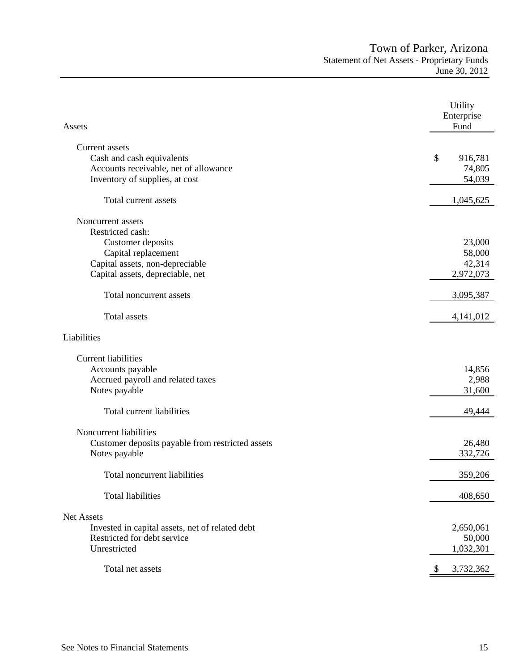| Assets                                           | Utility<br>Enterprise<br>Fund |
|--------------------------------------------------|-------------------------------|
| <b>Current</b> assets                            |                               |
| Cash and cash equivalents                        | \$<br>916,781                 |
| Accounts receivable, net of allowance            | 74,805                        |
| Inventory of supplies, at cost                   | 54,039                        |
| Total current assets                             | 1,045,625                     |
| Noncurrent assets                                |                               |
| Restricted cash:                                 |                               |
| <b>Customer</b> deposits                         | 23,000                        |
| Capital replacement                              | 58,000                        |
| Capital assets, non-depreciable                  | 42,314                        |
| Capital assets, depreciable, net                 | 2,972,073                     |
| Total noncurrent assets                          | 3,095,387                     |
| <b>Total assets</b>                              | 4,141,012                     |
| Liabilities                                      |                               |
| <b>Current liabilities</b>                       |                               |
| Accounts payable                                 | 14,856                        |
| Accrued payroll and related taxes                | 2,988                         |
| Notes payable                                    | 31,600                        |
| Total current liabilities                        | 49,444                        |
| Noncurrent liabilities                           |                               |
| Customer deposits payable from restricted assets | 26,480                        |
| Notes payable                                    | 332,726                       |
| Total noncurrent liabilities                     | 359,206                       |
| <b>Total liabilities</b>                         | 408,650                       |
| Net Assets                                       |                               |
| Invested in capital assets, net of related debt  | 2,650,061                     |
| Restricted for debt service                      | 50,000                        |
| Unrestricted                                     | 1,032,301                     |
| Total net assets                                 | 3,732,362                     |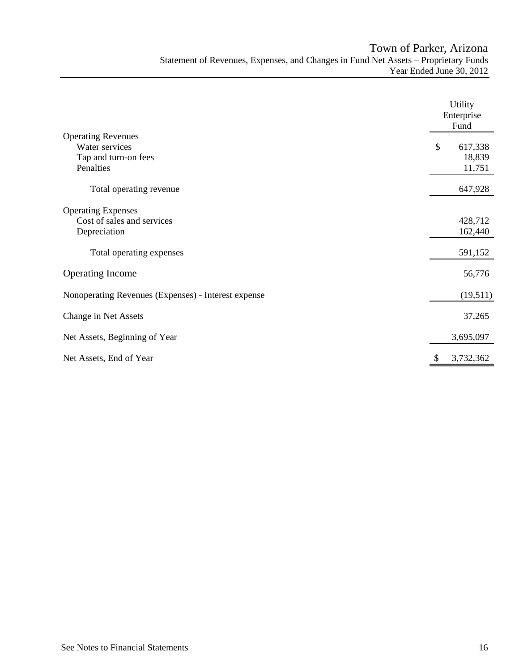|                                                                                                     |    | Utility<br>Enterprise<br>Fund |  |  |  |
|-----------------------------------------------------------------------------------------------------|----|-------------------------------|--|--|--|
| <b>Operating Revenues</b><br>Water services<br>Tap and turn-on fees<br>Penalties                    | \$ | 617,338<br>18,839<br>11,751   |  |  |  |
| Total operating revenue                                                                             |    | 647,928                       |  |  |  |
| <b>Operating Expenses</b><br>Cost of sales and services<br>Depreciation<br>Total operating expenses |    | 428,712<br>162,440<br>591,152 |  |  |  |
| <b>Operating Income</b>                                                                             |    | 56,776                        |  |  |  |
| Nonoperating Revenues (Expenses) - Interest expense                                                 |    | (19,511)                      |  |  |  |
| Change in Net Assets                                                                                |    | 37,265                        |  |  |  |
| Net Assets, Beginning of Year                                                                       |    | 3,695,097                     |  |  |  |
| Net Assets, End of Year                                                                             | \$ | 3,732,362                     |  |  |  |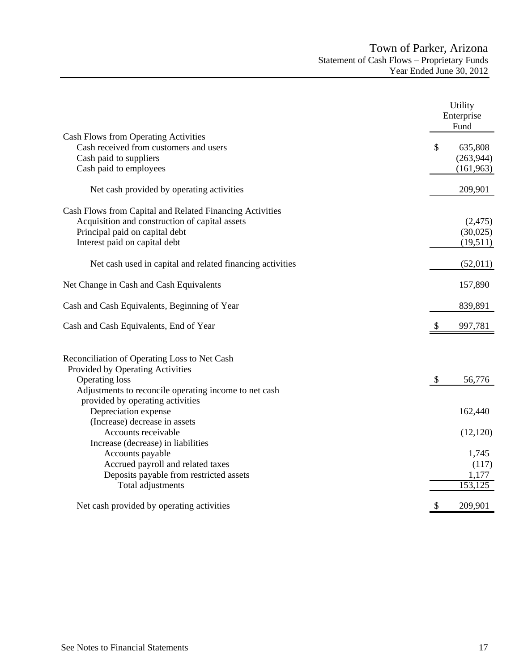|                                                                                                                                                                               | Utility<br>Enterprise<br>Fund                       |
|-------------------------------------------------------------------------------------------------------------------------------------------------------------------------------|-----------------------------------------------------|
| <b>Cash Flows from Operating Activities</b><br>Cash received from customers and users<br>Cash paid to suppliers<br>Cash paid to employees                                     | $\mathcal{S}$<br>635,808<br>(263,944)<br>(161, 963) |
| Net cash provided by operating activities                                                                                                                                     | 209,901                                             |
| Cash Flows from Capital and Related Financing Activities<br>Acquisition and construction of capital assets<br>Principal paid on capital debt<br>Interest paid on capital debt | (2, 475)<br>(30,025)<br>(19,511)                    |
| Net cash used in capital and related financing activities<br>Net Change in Cash and Cash Equivalents                                                                          | (52,011)<br>157,890                                 |
| Cash and Cash Equivalents, Beginning of Year                                                                                                                                  | 839,891                                             |
| Cash and Cash Equivalents, End of Year                                                                                                                                        | 997,781<br>\$                                       |
| Reconciliation of Operating Loss to Net Cash<br>Provided by Operating Activities<br><b>Operating loss</b><br>Adjustments to reconcile operating income to net cash            | $\boldsymbol{\mathsf{S}}$<br>56,776                 |
| provided by operating activities<br>Depreciation expense<br>(Increase) decrease in assets                                                                                     | 162,440                                             |
| Accounts receivable<br>Increase (decrease) in liabilities                                                                                                                     | (12, 120)                                           |
| Accounts payable<br>Accrued payroll and related taxes<br>Deposits payable from restricted assets<br>Total adjustments                                                         | 1,745<br>(117)<br>1,177<br>153,125                  |
| Net cash provided by operating activities                                                                                                                                     | \$<br>209,901                                       |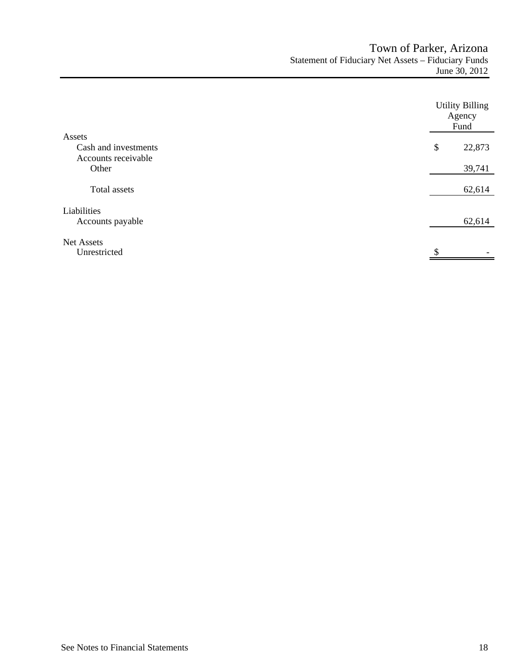|                                             | <b>Utility Billing</b><br>Agency<br>Fund |
|---------------------------------------------|------------------------------------------|
| Assets                                      |                                          |
| Cash and investments<br>Accounts receivable | \$<br>22,873                             |
|                                             |                                          |
| Other                                       | 39,741                                   |
| Total assets                                | 62,614                                   |
| Liabilities                                 |                                          |
| Accounts payable                            | 62,614                                   |
| Net Assets<br>Unrestricted                  | \$                                       |
|                                             |                                          |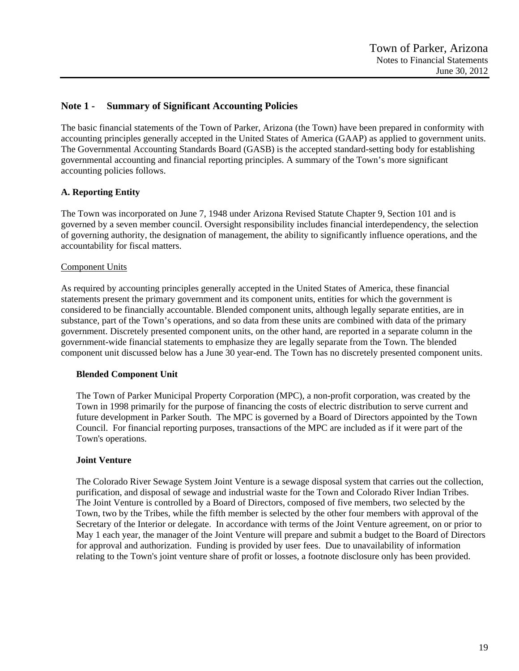# **Note 1 - Summary of Significant Accounting Policies**

The basic financial statements of the Town of Parker, Arizona (the Town) have been prepared in conformity with accounting principles generally accepted in the United States of America (GAAP) as applied to government units. The Governmental Accounting Standards Board (GASB) is the accepted standard-setting body for establishing governmental accounting and financial reporting principles. A summary of the Town's more significant accounting policies follows.

# **A. Reporting Entity**

The Town was incorporated on June 7, 1948 under Arizona Revised Statute Chapter 9, Section 101 and is governed by a seven member council. Oversight responsibility includes financial interdependency, the selection of governing authority, the designation of management, the ability to significantly influence operations, and the accountability for fiscal matters.

## Component Units

As required by accounting principles generally accepted in the United States of America, these financial statements present the primary government and its component units, entities for which the government is considered to be financially accountable. Blended component units, although legally separate entities, are in substance, part of the Town's operations, and so data from these units are combined with data of the primary government. Discretely presented component units, on the other hand, are reported in a separate column in the government-wide financial statements to emphasize they are legally separate from the Town. The blended component unit discussed below has a June 30 year-end. The Town has no discretely presented component units.

### **Blended Component Unit**

The Town of Parker Municipal Property Corporation (MPC), a non-profit corporation, was created by the Town in 1998 primarily for the purpose of financing the costs of electric distribution to serve current and future development in Parker South. The MPC is governed by a Board of Directors appointed by the Town Council. For financial reporting purposes, transactions of the MPC are included as if it were part of the Town's operations.

### **Joint Venture**

The Colorado River Sewage System Joint Venture is a sewage disposal system that carries out the collection, purification, and disposal of sewage and industrial waste for the Town and Colorado River Indian Tribes. The Joint Venture is controlled by a Board of Directors, composed of five members, two selected by the Town, two by the Tribes, while the fifth member is selected by the other four members with approval of the Secretary of the Interior or delegate. In accordance with terms of the Joint Venture agreement, on or prior to May 1 each year, the manager of the Joint Venture will prepare and submit a budget to the Board of Directors for approval and authorization. Funding is provided by user fees. Due to unavailability of information relating to the Town's joint venture share of profit or losses, a footnote disclosure only has been provided.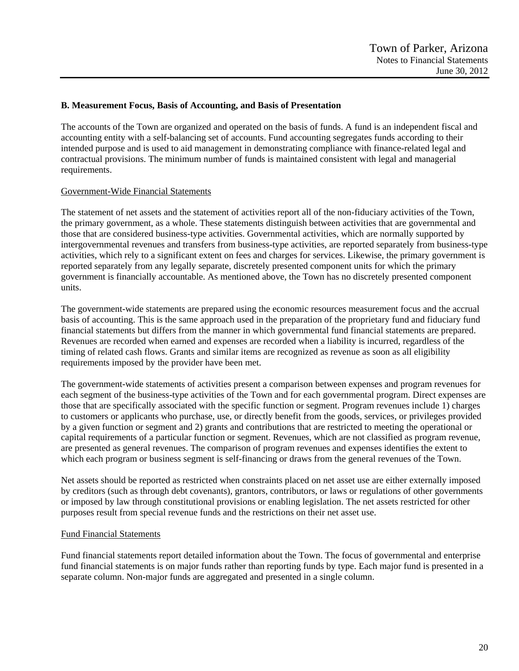### **B. Measurement Focus, Basis of Accounting, and Basis of Presentation**

The accounts of the Town are organized and operated on the basis of funds. A fund is an independent fiscal and accounting entity with a self-balancing set of accounts. Fund accounting segregates funds according to their intended purpose and is used to aid management in demonstrating compliance with finance-related legal and contractual provisions. The minimum number of funds is maintained consistent with legal and managerial requirements.

## Government-Wide Financial Statements

The statement of net assets and the statement of activities report all of the non-fiduciary activities of the Town, the primary government, as a whole. These statements distinguish between activities that are governmental and those that are considered business-type activities. Governmental activities, which are normally supported by intergovernmental revenues and transfers from business-type activities, are reported separately from business-type activities, which rely to a significant extent on fees and charges for services. Likewise, the primary government is reported separately from any legally separate, discretely presented component units for which the primary government is financially accountable. As mentioned above, the Town has no discretely presented component units.

The government-wide statements are prepared using the economic resources measurement focus and the accrual basis of accounting. This is the same approach used in the preparation of the proprietary fund and fiduciary fund financial statements but differs from the manner in which governmental fund financial statements are prepared. Revenues are recorded when earned and expenses are recorded when a liability is incurred, regardless of the timing of related cash flows. Grants and similar items are recognized as revenue as soon as all eligibility requirements imposed by the provider have been met.

The government-wide statements of activities present a comparison between expenses and program revenues for each segment of the business-type activities of the Town and for each governmental program. Direct expenses are those that are specifically associated with the specific function or segment. Program revenues include 1) charges to customers or applicants who purchase, use, or directly benefit from the goods, services, or privileges provided by a given function or segment and 2) grants and contributions that are restricted to meeting the operational or capital requirements of a particular function or segment. Revenues, which are not classified as program revenue, are presented as general revenues. The comparison of program revenues and expenses identifies the extent to which each program or business segment is self-financing or draws from the general revenues of the Town.

Net assets should be reported as restricted when constraints placed on net asset use are either externally imposed by creditors (such as through debt covenants), grantors, contributors, or laws or regulations of other governments or imposed by law through constitutional provisions or enabling legislation. The net assets restricted for other purposes result from special revenue funds and the restrictions on their net asset use.

### Fund Financial Statements

Fund financial statements report detailed information about the Town. The focus of governmental and enterprise fund financial statements is on major funds rather than reporting funds by type. Each major fund is presented in a separate column. Non-major funds are aggregated and presented in a single column.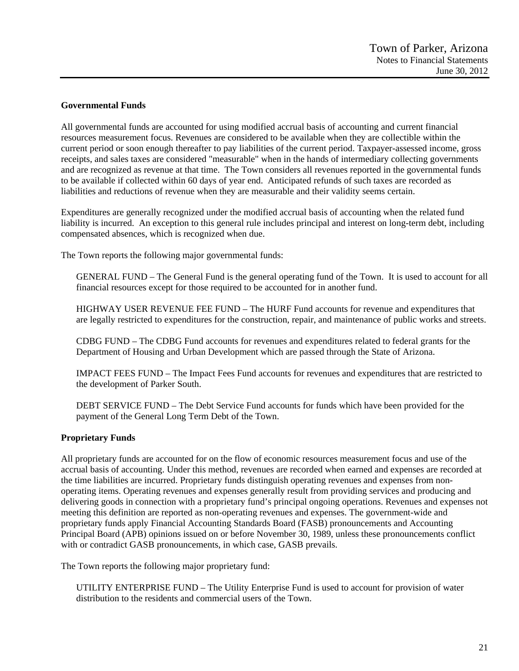## **Governmental Funds**

All governmental funds are accounted for using modified accrual basis of accounting and current financial resources measurement focus. Revenues are considered to be available when they are collectible within the current period or soon enough thereafter to pay liabilities of the current period. Taxpayer-assessed income, gross receipts, and sales taxes are considered "measurable" when in the hands of intermediary collecting governments and are recognized as revenue at that time. The Town considers all revenues reported in the governmental funds to be available if collected within 60 days of year end. Anticipated refunds of such taxes are recorded as liabilities and reductions of revenue when they are measurable and their validity seems certain.

Expenditures are generally recognized under the modified accrual basis of accounting when the related fund liability is incurred. An exception to this general rule includes principal and interest on long-term debt, including compensated absences, which is recognized when due.

The Town reports the following major governmental funds:

GENERAL FUND – The General Fund is the general operating fund of the Town. It is used to account for all financial resources except for those required to be accounted for in another fund.

HIGHWAY USER REVENUE FEE FUND – The HURF Fund accounts for revenue and expenditures that are legally restricted to expenditures for the construction, repair, and maintenance of public works and streets.

CDBG FUND – The CDBG Fund accounts for revenues and expenditures related to federal grants for the Department of Housing and Urban Development which are passed through the State of Arizona.

IMPACT FEES FUND – The Impact Fees Fund accounts for revenues and expenditures that are restricted to the development of Parker South.

DEBT SERVICE FUND – The Debt Service Fund accounts for funds which have been provided for the payment of the General Long Term Debt of the Town.

### **Proprietary Funds**

All proprietary funds are accounted for on the flow of economic resources measurement focus and use of the accrual basis of accounting. Under this method, revenues are recorded when earned and expenses are recorded at the time liabilities are incurred. Proprietary funds distinguish operating revenues and expenses from nonoperating items. Operating revenues and expenses generally result from providing services and producing and delivering goods in connection with a proprietary fund's principal ongoing operations. Revenues and expenses not meeting this definition are reported as non-operating revenues and expenses. The government-wide and proprietary funds apply Financial Accounting Standards Board (FASB) pronouncements and Accounting Principal Board (APB) opinions issued on or before November 30, 1989, unless these pronouncements conflict with or contradict GASB pronouncements, in which case, GASB prevails.

The Town reports the following major proprietary fund:

UTILITY ENTERPRISE FUND – The Utility Enterprise Fund is used to account for provision of water distribution to the residents and commercial users of the Town.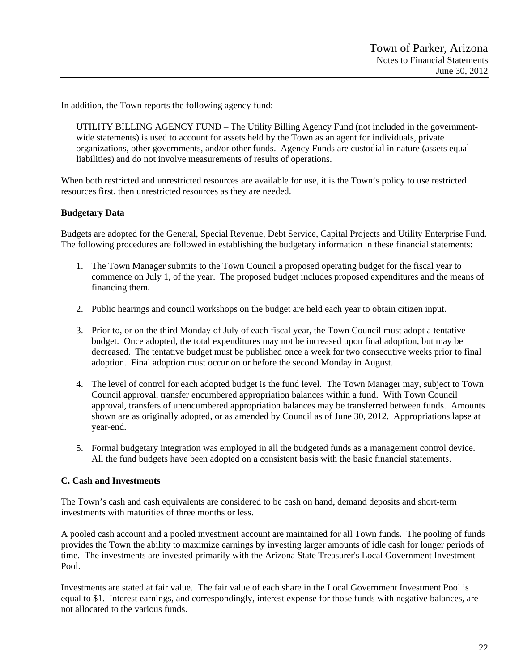In addition, the Town reports the following agency fund:

UTILITY BILLING AGENCY FUND – The Utility Billing Agency Fund (not included in the governmentwide statements) is used to account for assets held by the Town as an agent for individuals, private organizations, other governments, and/or other funds. Agency Funds are custodial in nature (assets equal liabilities) and do not involve measurements of results of operations.

When both restricted and unrestricted resources are available for use, it is the Town's policy to use restricted resources first, then unrestricted resources as they are needed.

### **Budgetary Data**

Budgets are adopted for the General, Special Revenue, Debt Service, Capital Projects and Utility Enterprise Fund. The following procedures are followed in establishing the budgetary information in these financial statements:

- 1. The Town Manager submits to the Town Council a proposed operating budget for the fiscal year to commence on July 1, of the year. The proposed budget includes proposed expenditures and the means of financing them.
- 2. Public hearings and council workshops on the budget are held each year to obtain citizen input.
- 3. Prior to, or on the third Monday of July of each fiscal year, the Town Council must adopt a tentative budget. Once adopted, the total expenditures may not be increased upon final adoption, but may be decreased. The tentative budget must be published once a week for two consecutive weeks prior to final adoption. Final adoption must occur on or before the second Monday in August.
- 4. The level of control for each adopted budget is the fund level. The Town Manager may, subject to Town Council approval, transfer encumbered appropriation balances within a fund. With Town Council approval, transfers of unencumbered appropriation balances may be transferred between funds. Amounts shown are as originally adopted, or as amended by Council as of June 30, 2012. Appropriations lapse at year-end.
- 5. Formal budgetary integration was employed in all the budgeted funds as a management control device. All the fund budgets have been adopted on a consistent basis with the basic financial statements.

### **C. Cash and Investments**

The Town's cash and cash equivalents are considered to be cash on hand, demand deposits and short-term investments with maturities of three months or less.

A pooled cash account and a pooled investment account are maintained for all Town funds. The pooling of funds provides the Town the ability to maximize earnings by investing larger amounts of idle cash for longer periods of time. The investments are invested primarily with the Arizona State Treasurer's Local Government Investment Pool.

Investments are stated at fair value. The fair value of each share in the Local Government Investment Pool is equal to \$1. Interest earnings, and correspondingly, interest expense for those funds with negative balances, are not allocated to the various funds.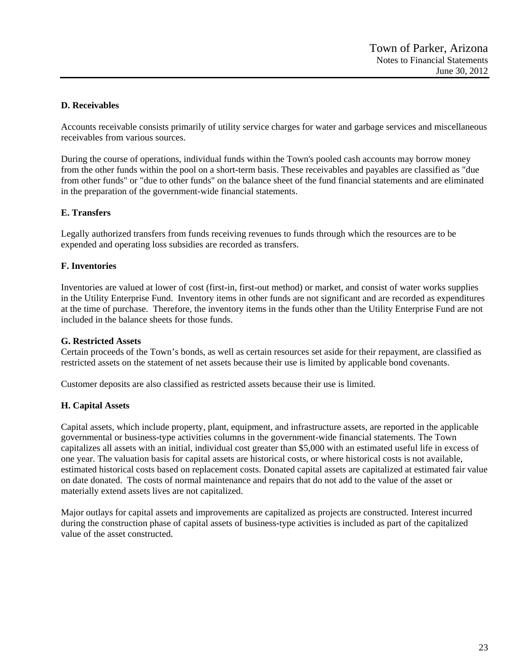## **D. Receivables**

Accounts receivable consists primarily of utility service charges for water and garbage services and miscellaneous receivables from various sources.

During the course of operations, individual funds within the Town's pooled cash accounts may borrow money from the other funds within the pool on a short-term basis. These receivables and payables are classified as "due from other funds" or "due to other funds" on the balance sheet of the fund financial statements and are eliminated in the preparation of the government-wide financial statements.

## **E. Transfers**

Legally authorized transfers from funds receiving revenues to funds through which the resources are to be expended and operating loss subsidies are recorded as transfers.

### **F. Inventories**

Inventories are valued at lower of cost (first-in, first-out method) or market, and consist of water works supplies in the Utility Enterprise Fund. Inventory items in other funds are not significant and are recorded as expenditures at the time of purchase. Therefore, the inventory items in the funds other than the Utility Enterprise Fund are not included in the balance sheets for those funds.

### **G. Restricted Assets**

Certain proceeds of the Town's bonds, as well as certain resources set aside for their repayment, are classified as restricted assets on the statement of net assets because their use is limited by applicable bond covenants.

Customer deposits are also classified as restricted assets because their use is limited.

### **H. Capital Assets**

Capital assets, which include property, plant, equipment, and infrastructure assets, are reported in the applicable governmental or business-type activities columns in the government-wide financial statements. The Town capitalizes all assets with an initial, individual cost greater than \$5,000 with an estimated useful life in excess of one year. The valuation basis for capital assets are historical costs, or where historical costs is not available, estimated historical costs based on replacement costs. Donated capital assets are capitalized at estimated fair value on date donated. The costs of normal maintenance and repairs that do not add to the value of the asset or materially extend assets lives are not capitalized.

Major outlays for capital assets and improvements are capitalized as projects are constructed. Interest incurred during the construction phase of capital assets of business-type activities is included as part of the capitalized value of the asset constructed.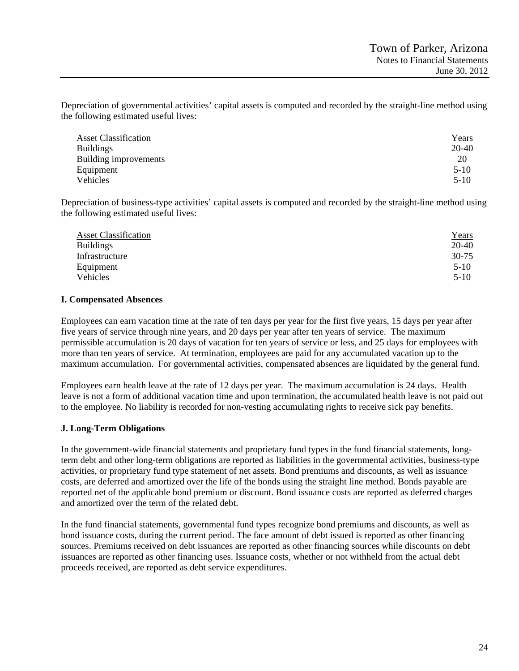Depreciation of governmental activities' capital assets is computed and recorded by the straight-line method using the following estimated useful lives:

| <b>Asset Classification</b> | <u>Years</u> |
|-----------------------------|--------------|
| <b>Buildings</b>            | 20-40        |
| Building improvements       | 20           |
| Equipment                   | $5-10$       |
| Vehicles                    | 5-10         |

Depreciation of business-type activities' capital assets is computed and recorded by the straight-line method using the following estimated useful lives:

| <b>Asset Classification</b> | <u>Years</u> |
|-----------------------------|--------------|
| <b>Buildings</b>            | 20-40        |
| Infrastructure              | $30 - 75$    |
| Equipment                   | $5-10$       |
| Vehicles                    | $5-10$       |

## **I. Compensated Absences**

Employees can earn vacation time at the rate of ten days per year for the first five years, 15 days per year after five years of service through nine years, and 20 days per year after ten years of service. The maximum permissible accumulation is 20 days of vacation for ten years of service or less, and 25 days for employees with more than ten years of service. At termination, employees are paid for any accumulated vacation up to the maximum accumulation. For governmental activities, compensated absences are liquidated by the general fund.

Employees earn health leave at the rate of 12 days per year. The maximum accumulation is 24 days. Health leave is not a form of additional vacation time and upon termination, the accumulated health leave is not paid out to the employee. No liability is recorded for non-vesting accumulating rights to receive sick pay benefits.

### **J. Long-Term Obligations**

In the government-wide financial statements and proprietary fund types in the fund financial statements, longterm debt and other long-term obligations are reported as liabilities in the governmental activities, business-type activities, or proprietary fund type statement of net assets. Bond premiums and discounts, as well as issuance costs, are deferred and amortized over the life of the bonds using the straight line method. Bonds payable are reported net of the applicable bond premium or discount. Bond issuance costs are reported as deferred charges and amortized over the term of the related debt.

In the fund financial statements, governmental fund types recognize bond premiums and discounts, as well as bond issuance costs, during the current period. The face amount of debt issued is reported as other financing sources. Premiums received on debt issuances are reported as other financing sources while discounts on debt issuances are reported as other financing uses. Issuance costs, whether or not withheld from the actual debt proceeds received, are reported as debt service expenditures.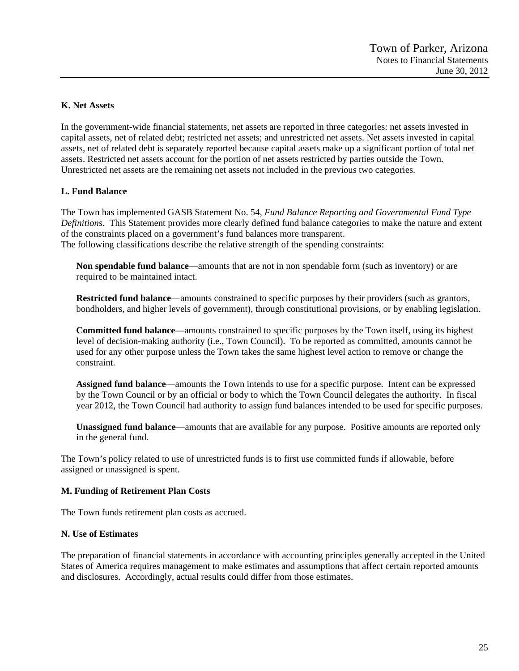## **K. Net Assets**

In the government-wide financial statements, net assets are reported in three categories: net assets invested in capital assets, net of related debt; restricted net assets; and unrestricted net assets. Net assets invested in capital assets, net of related debt is separately reported because capital assets make up a significant portion of total net assets. Restricted net assets account for the portion of net assets restricted by parties outside the Town. Unrestricted net assets are the remaining net assets not included in the previous two categories.

# **L. Fund Balance**

The Town has implemented GASB Statement No. 54, *Fund Balance Reporting and Governmental Fund Type Definitions*. This Statement provides more clearly defined fund balance categories to make the nature and extent of the constraints placed on a government's fund balances more transparent. The following classifications describe the relative strength of the spending constraints:

**Non spendable fund balance**—amounts that are not in non spendable form (such as inventory) or are required to be maintained intact.

**Restricted fund balance**—amounts constrained to specific purposes by their providers (such as grantors, bondholders, and higher levels of government), through constitutional provisions, or by enabling legislation.

**Committed fund balance**—amounts constrained to specific purposes by the Town itself, using its highest level of decision-making authority (i.e., Town Council). To be reported as committed, amounts cannot be used for any other purpose unless the Town takes the same highest level action to remove or change the constraint.

**Assigned fund balance**—amounts the Town intends to use for a specific purpose. Intent can be expressed by the Town Council or by an official or body to which the Town Council delegates the authority. In fiscal year 2012, the Town Council had authority to assign fund balances intended to be used for specific purposes.

**Unassigned fund balance**—amounts that are available for any purpose. Positive amounts are reported only in the general fund.

The Town's policy related to use of unrestricted funds is to first use committed funds if allowable, before assigned or unassigned is spent.

### **M. Funding of Retirement Plan Costs**

The Town funds retirement plan costs as accrued.

### **N. Use of Estimates**

The preparation of financial statements in accordance with accounting principles generally accepted in the United States of America requires management to make estimates and assumptions that affect certain reported amounts and disclosures. Accordingly, actual results could differ from those estimates.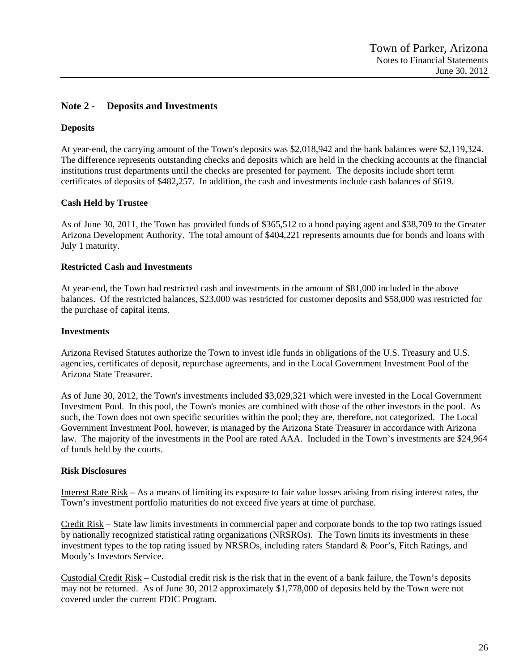## **Note 2 - Deposits and Investments**

### **Deposits**

At year-end, the carrying amount of the Town's deposits was \$2,018,942 and the bank balances were \$2,119,324. The difference represents outstanding checks and deposits which are held in the checking accounts at the financial institutions trust departments until the checks are presented for payment. The deposits include short term certificates of deposits of \$482,257. In addition, the cash and investments include cash balances of \$619.

### **Cash Held by Trustee**

As of June 30, 2011, the Town has provided funds of \$365,512 to a bond paying agent and \$38,709 to the Greater Arizona Development Authority. The total amount of \$404,221 represents amounts due for bonds and loans with July 1 maturity.

#### **Restricted Cash and Investments**

At year-end, the Town had restricted cash and investments in the amount of \$81,000 included in the above balances. Of the restricted balances, \$23,000 was restricted for customer deposits and \$58,000 was restricted for the purchase of capital items.

#### **Investments**

Arizona Revised Statutes authorize the Town to invest idle funds in obligations of the U.S. Treasury and U.S. agencies, certificates of deposit, repurchase agreements, and in the Local Government Investment Pool of the Arizona State Treasurer.

As of June 30, 2012, the Town's investments included \$3,029,321 which were invested in the Local Government Investment Pool. In this pool, the Town's monies are combined with those of the other investors in the pool. As such, the Town does not own specific securities within the pool; they are, therefore, not categorized. The Local Government Investment Pool, however, is managed by the Arizona State Treasurer in accordance with Arizona law. The majority of the investments in the Pool are rated AAA. Included in the Town's investments are \$24,964 of funds held by the courts.

### **Risk Disclosures**

Interest Rate Risk – As a means of limiting its exposure to fair value losses arising from rising interest rates, the Town's investment portfolio maturities do not exceed five years at time of purchase.

Credit Risk – State law limits investments in commercial paper and corporate bonds to the top two ratings issued by nationally recognized statistical rating organizations (NRSROs). The Town limits its investments in these investment types to the top rating issued by NRSROs, including raters Standard & Poor's, Fitch Ratings, and Moody's Investors Service.

Custodial Credit Risk – Custodial credit risk is the risk that in the event of a bank failure, the Town's deposits may not be returned. As of June 30, 2012 approximately \$1,778,000 of deposits held by the Town were not covered under the current FDIC Program.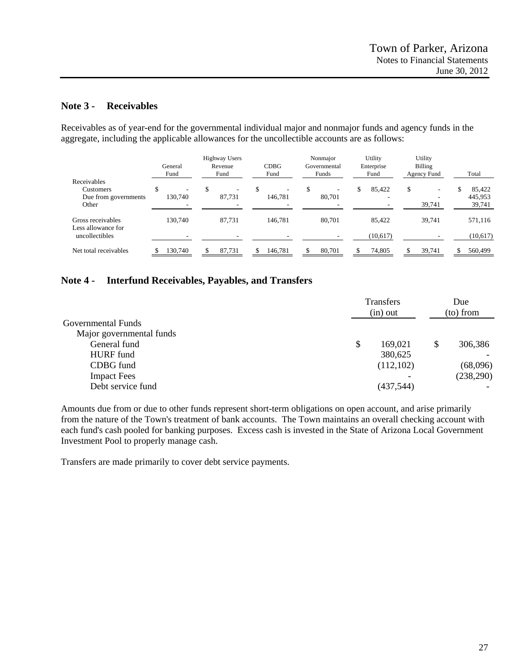# **Note 3 - Receivables**

Receivables as of year-end for the governmental individual major and nonmajor funds and agency funds in the aggregate, including the applicable allowances for the uncollectible accounts are as follows:

|                                                           | General<br>Fund                           | Highway Users<br>Revenue<br>Fund |   | <b>CDBG</b><br>Fund | Nonmajor<br>Governmental<br>Funds | Utility<br>Enterprise<br>Fund | Utility<br>Billing<br>Agency Fund | Total                       |
|-----------------------------------------------------------|-------------------------------------------|----------------------------------|---|---------------------|-----------------------------------|-------------------------------|-----------------------------------|-----------------------------|
| Receivables<br>Customers<br>Due from governments<br>Other | \$<br>$\overline{\phantom{a}}$<br>130,740 | \$<br>87,731                     | ъ | 146,781             | \$<br>80,701                      | \$<br>85,422<br>-             | \$<br>39,741                      | 85,422<br>445,953<br>39,741 |
| Gross receivables<br>Less allowance for<br>uncollectibles | 130.740                                   | 87,731                           |   | 146,781             | 80,701                            | 85.422<br>(10,617)            | 39,741                            | 571,116<br>(10,617)         |
| Net total receivables                                     | 130,740                                   | 87,731                           |   | 146,781             | 80,701                            | 74,805                        | 39,741                            | 560,499                     |

# **Note 4 - Interfund Receivables, Payables, and Transfers**

|                          | <b>Transfers</b><br>$(in)$ out |            | Due<br>(to) from |  |
|--------------------------|--------------------------------|------------|------------------|--|
| Governmental Funds       |                                |            |                  |  |
| Major governmental funds |                                |            |                  |  |
| General fund             | \$.                            | 169,021    | \$<br>306,386    |  |
| HURF fund                |                                | 380,625    |                  |  |
| CDBG fund                |                                | (112, 102) | (68,096)         |  |
| <b>Impact Fees</b>       |                                |            | (238,290)        |  |
| Debt service fund        |                                | (437,544)  |                  |  |

Amounts due from or due to other funds represent short-term obligations on open account, and arise primarily from the nature of the Town's treatment of bank accounts. The Town maintains an overall checking account with each fund's cash pooled for banking purposes. Excess cash is invested in the State of Arizona Local Government Investment Pool to properly manage cash.

Transfers are made primarily to cover debt service payments.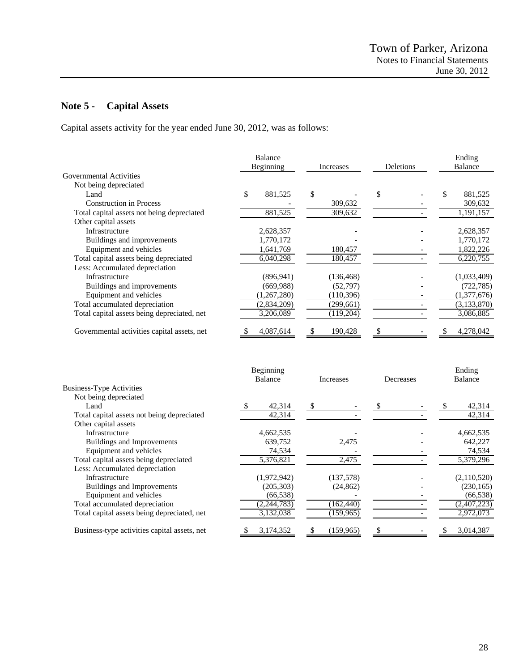# **Note 5 - Capital Assets**

Capital assets activity for the year ended June 30, 2012, was as follows:

|                                             | <b>Balance</b> |            |                  | Ending        |  |
|---------------------------------------------|----------------|------------|------------------|---------------|--|
|                                             | Beginning      | Increases  | <b>Deletions</b> | Balance       |  |
| Governmental Activities                     |                |            |                  |               |  |
| Not being depreciated                       |                |            |                  |               |  |
| Land                                        | \$<br>881,525  |            |                  | 881,525       |  |
| <b>Construction in Process</b>              |                | 309,632    |                  | 309,632       |  |
| Total capital assets not being depreciated  | 881,525        | 309,632    |                  | 1,191,157     |  |
| Other capital assets                        |                |            |                  |               |  |
| Infrastructure                              | 2,628,357      |            |                  | 2,628,357     |  |
| Buildings and improvements                  | 1,770,172      |            |                  | 1,770,172     |  |
| Equipment and vehicles                      | 1,641,769      | 180,457    |                  | 1,822,226     |  |
| Total capital assets being depreciated      | 6,040,298      | 180,457    |                  | 6,220,755     |  |
| Less: Accumulated depreciation              |                |            |                  |               |  |
| Infrastructure                              | (896, 941)     | (136, 468) |                  | (1,033,409)   |  |
| Buildings and improvements                  | (669,988)      | (52, 797)  |                  | (722, 785)    |  |
| Equipment and vehicles                      | (1,267,280)    | (110, 396) |                  | (1,377,676)   |  |
| Total accumulated depreciation              | (2,834,209)    | (299, 661) |                  | (3, 133, 870) |  |
| Total capital assets being depreciated, net | 3,206,089      | (119,204)  |                  | 3,086,885     |  |
| Governmental activities capital assets, net | 4,087,614      | 190,428    |                  | 4,278,042     |  |

|                                              | Beginning     |            |           | Ending                 |  |
|----------------------------------------------|---------------|------------|-----------|------------------------|--|
|                                              | Balance       | Increases  | Decreases | Balance                |  |
| <b>Business-Type Activities</b>              |               |            |           |                        |  |
| Not being depreciated                        |               |            |           |                        |  |
| Land                                         | 42,314        | \$.        |           | 42,314                 |  |
| Total capital assets not being depreciated   | 42,314        |            |           | 42,314                 |  |
| Other capital assets                         |               |            |           |                        |  |
| Infrastructure                               | 4,662,535     |            |           | 4,662,535              |  |
| Buildings and Improvements                   | 639,752       | 2,475      |           | 642,227                |  |
| Equipment and vehicles                       | 74,534        |            |           | 74,534                 |  |
| Total capital assets being depreciated       | 5,376,821     | 2,475      |           | $\overline{5,379,296}$ |  |
| Less: Accumulated depreciation               |               |            |           |                        |  |
| Infrastructure                               | (1,972,942)   | (137,578)  |           | (2,110,520)            |  |
| Buildings and Improvements                   | (205, 303)    | (24, 862)  |           | (230, 165)             |  |
| Equipment and vehicles                       | (66, 538)     |            |           | (66, 538)              |  |
| Total accumulated depreciation               | (2, 244, 783) | (162, 440) |           | (2,407,223)            |  |
| Total capital assets being depreciated, net  | 3,132,038     | (159, 965) |           | 2,972,073              |  |
| Business-type activities capital assets, net | 3,174,352     | (159,965)  |           | 3,014,387              |  |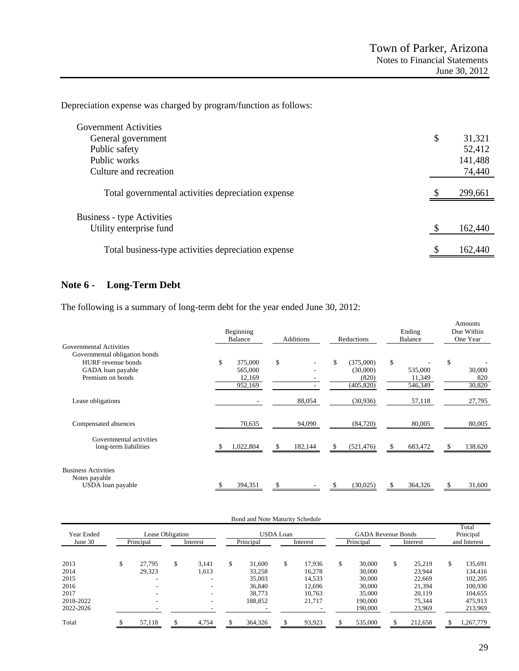Depreciation expense was charged by program/function as follows:

| <b>Government Activities</b>                        |              |
|-----------------------------------------------------|--------------|
| General government                                  | \$<br>31,321 |
| Public safety                                       | 52,412       |
| Public works                                        | 141,488      |
| Culture and recreation                              | 74,440       |
| Total governmental activities depreciation expense  | 299,661      |
| Business - type Activities                          |              |
| Utility enterprise fund                             | 162,440      |
| Total business-type activities depreciation expense | 162,440      |

# **Note 6 - Long-Term Debt**

The following is a summary of long-term debt for the year ended June 30, 2012:

| Governmental Activities                                                                      | Beginning<br>Balance                          | <b>Additions</b> | Reductions                                            | Ending<br>Balance                  | Amounts<br>Due Within<br>One Year |
|----------------------------------------------------------------------------------------------|-----------------------------------------------|------------------|-------------------------------------------------------|------------------------------------|-----------------------------------|
| Governmental obligation bonds<br>HURF revenue bonds<br>GADA loan payable<br>Premium on bonds | \$<br>375,000<br>565,000<br>12,169<br>952,169 | \$               | (375,000)<br>(30,000)<br>(820)<br>$\sqrt{(405, 820)}$ | \$<br>535,000<br>11,349<br>546,349 | \$<br>30,000<br>820<br>30,820     |
| Lease obligations                                                                            |                                               | 88,054           | (30,936)                                              | 57,118                             | 27,795                            |
| Compensated absences                                                                         | 70,635                                        | 94,090           | (84,720)                                              | 80,005                             | 80,005                            |
| Governmental activities<br>long-term liabilities                                             | 1,022,804                                     | 182,144          | (521, 476)                                            | 683,472                            | 138,620                           |
| <b>Business Activities</b><br>Notes payable<br>USDA loan payable                             | 394,351                                       | S                | (30,025)                                              | 364,326                            | 31,600                            |

| Year Ended |                          | Lease Obligation |                          |              | <b>USDA Loan</b> |          | <b>GADA Revenue Bonds</b> |              | Total<br>Principal |
|------------|--------------------------|------------------|--------------------------|--------------|------------------|----------|---------------------------|--------------|--------------------|
| June $30$  | Principal                |                  | Interest                 | Principal    |                  | Interest | Principal                 | Interest     | and Interest       |
| 2013       | \$<br>27.795             | \$               | 3.141                    | \$<br>31,600 | \$               | 17.936   | \$<br>30,000              | \$<br>25.219 | \$<br>135,691      |
| 2014       | 29.323                   |                  | 1,613                    | 33,258       |                  | 16.278   | 30,000                    | 23,944       | 134,416            |
| 2015       |                          |                  | $\overline{\phantom{a}}$ | 35,003       |                  | 14,533   | 30,000                    | 22,669       | 102,205            |
| 2016       |                          |                  | $\overline{\phantom{a}}$ | 36,840       |                  | 12,696   | 30,000                    | 21,394       | 100,930            |
| 2017       | $\overline{\phantom{0}}$ |                  | $\overline{\phantom{a}}$ | 38,773       |                  | 10.763   | 35,000                    | 20,119       | 104,655            |
| 2018-2022  | $\overline{\phantom{0}}$ |                  | $\overline{\phantom{a}}$ | 188,852      |                  | 21.717   | 190.000                   | 75,344       | 475,913            |
| 2022-2026  |                          |                  |                          |              |                  |          | 190,000                   | 23,969       | 213,969            |
| Total      | 57,118                   |                  | 4,754                    | 364,326      |                  | 93,923   | 535,000                   | 212,658      | 1,267,779          |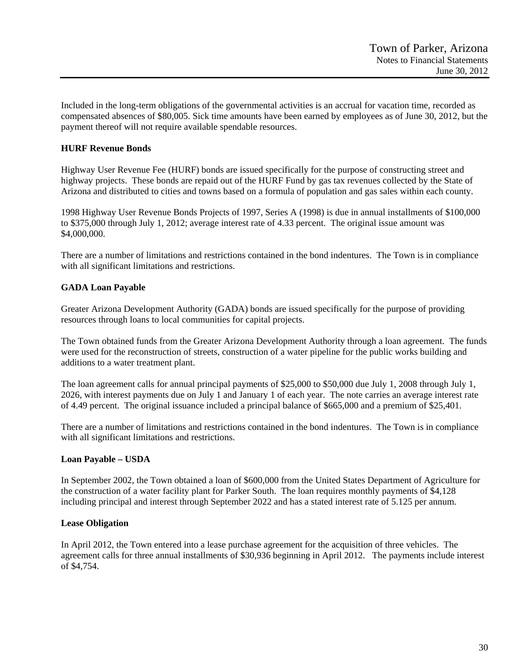Included in the long-term obligations of the governmental activities is an accrual for vacation time, recorded as compensated absences of \$80,005. Sick time amounts have been earned by employees as of June 30, 2012, but the payment thereof will not require available spendable resources.

### **HURF Revenue Bonds**

Highway User Revenue Fee (HURF) bonds are issued specifically for the purpose of constructing street and highway projects. These bonds are repaid out of the HURF Fund by gas tax revenues collected by the State of Arizona and distributed to cities and towns based on a formula of population and gas sales within each county.

1998 Highway User Revenue Bonds Projects of 1997, Series A (1998) is due in annual installments of \$100,000 to \$375,000 through July 1, 2012; average interest rate of 4.33 percent. The original issue amount was \$4,000,000.

There are a number of limitations and restrictions contained in the bond indentures. The Town is in compliance with all significant limitations and restrictions.

## **GADA Loan Payable**

Greater Arizona Development Authority (GADA) bonds are issued specifically for the purpose of providing resources through loans to local communities for capital projects.

The Town obtained funds from the Greater Arizona Development Authority through a loan agreement. The funds were used for the reconstruction of streets, construction of a water pipeline for the public works building and additions to a water treatment plant.

The loan agreement calls for annual principal payments of \$25,000 to \$50,000 due July 1, 2008 through July 1, 2026, with interest payments due on July 1 and January 1 of each year. The note carries an average interest rate of 4.49 percent. The original issuance included a principal balance of \$665,000 and a premium of \$25,401.

There are a number of limitations and restrictions contained in the bond indentures. The Town is in compliance with all significant limitations and restrictions.

### **Loan Payable – USDA**

In September 2002, the Town obtained a loan of \$600,000 from the United States Department of Agriculture for the construction of a water facility plant for Parker South. The loan requires monthly payments of \$4,128 including principal and interest through September 2022 and has a stated interest rate of 5.125 per annum.

### **Lease Obligation**

In April 2012, the Town entered into a lease purchase agreement for the acquisition of three vehicles. The agreement calls for three annual installments of \$30,936 beginning in April 2012. The payments include interest of \$4,754.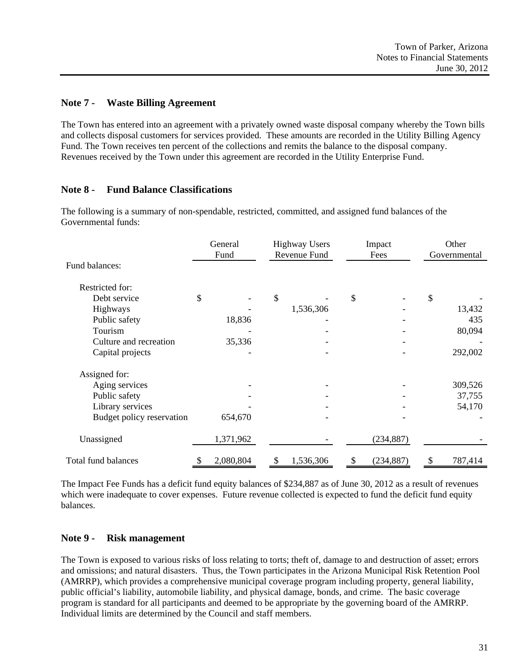# **Note 7 - Waste Billing Agreement**

The Town has entered into an agreement with a privately owned waste disposal company whereby the Town bills and collects disposal customers for services provided. These amounts are recorded in the Utility Billing Agency Fund. The Town receives ten percent of the collections and remits the balance to the disposal company. Revenues received by the Town under this agreement are recorded in the Utility Enterprise Fund.

## **Note 8 - Fund Balance Classifications**

The following is a summary of non-spendable, restricted, committed, and assigned fund balances of the Governmental funds:

|                           | General<br>Fund |           |    | <b>Highway Users</b><br>Revenue Fund |              | Impact<br>Fees | Other<br>Governmental |         |
|---------------------------|-----------------|-----------|----|--------------------------------------|--------------|----------------|-----------------------|---------|
| Fund balances:            |                 |           |    |                                      |              |                |                       |         |
| Restricted for:           |                 |           |    |                                      |              |                |                       |         |
| Debt service              | \$              |           | \$ |                                      | \$           |                | \$                    |         |
| Highways                  |                 |           |    | 1,536,306                            |              |                |                       | 13,432  |
| Public safety             |                 | 18,836    |    |                                      |              |                |                       | 435     |
| Tourism                   |                 |           |    |                                      |              |                |                       | 80,094  |
| Culture and recreation    |                 | 35,336    |    |                                      |              |                |                       |         |
| Capital projects          |                 |           |    |                                      |              |                |                       | 292,002 |
| Assigned for:             |                 |           |    |                                      |              |                |                       |         |
| Aging services            |                 |           |    |                                      |              |                |                       | 309,526 |
| Public safety             |                 |           |    |                                      |              |                |                       | 37,755  |
| Library services          |                 |           |    |                                      |              |                |                       | 54,170  |
| Budget policy reservation |                 | 654,670   |    |                                      |              |                |                       |         |
| Unassigned                |                 | 1,371,962 |    |                                      |              | (234, 887)     |                       |         |
| Total fund balances       |                 | 2,080,804 | S  | 1,536,306                            | <sup>8</sup> | (234, 887)     | S                     | 787,414 |

The Impact Fee Funds has a deficit fund equity balances of \$234,887 as of June 30, 2012 as a result of revenues which were inadequate to cover expenses. Future revenue collected is expected to fund the deficit fund equity balances.

### **Note 9 - Risk management**

The Town is exposed to various risks of loss relating to torts; theft of, damage to and destruction of asset; errors and omissions; and natural disasters. Thus, the Town participates in the Arizona Municipal Risk Retention Pool (AMRRP), which provides a comprehensive municipal coverage program including property, general liability, public official's liability, automobile liability, and physical damage, bonds, and crime. The basic coverage program is standard for all participants and deemed to be appropriate by the governing board of the AMRRP. Individual limits are determined by the Council and staff members.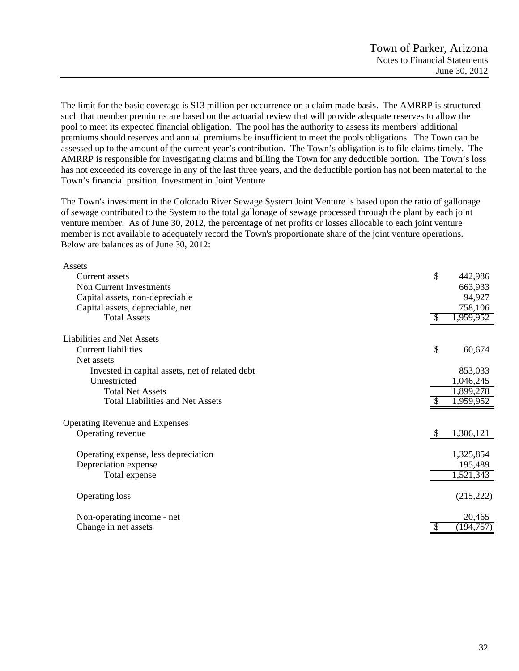The limit for the basic coverage is \$13 million per occurrence on a claim made basis. The AMRRP is structured such that member premiums are based on the actuarial review that will provide adequate reserves to allow the pool to meet its expected financial obligation. The pool has the authority to assess its members' additional premiums should reserves and annual premiums be insufficient to meet the pools obligations. The Town can be assessed up to the amount of the current year's contribution. The Town's obligation is to file claims timely. The AMRRP is responsible for investigating claims and billing the Town for any deductible portion. The Town's loss has not exceeded its coverage in any of the last three years, and the deductible portion has not been material to the Town's financial position. Investment in Joint Venture

The Town's investment in the Colorado River Sewage System Joint Venture is based upon the ratio of gallonage of sewage contributed to the System to the total gallonage of sewage processed through the plant by each joint venture member. As of June 30, 2012, the percentage of net profits or losses allocable to each joint venture member is not available to adequately record the Town's proportionate share of the joint venture operations. Below are balances as of June 30, 2012:

| Assets                                          |               |            |
|-------------------------------------------------|---------------|------------|
| Current assets                                  | \$            | 442,986    |
| Non Current Investments                         |               | 663,933    |
| Capital assets, non-depreciable                 |               | 94,927     |
| Capital assets, depreciable, net                |               | 758,106    |
| <b>Total Assets</b>                             |               | 1,959,952  |
| Liabilities and Net Assets                      |               |            |
| <b>Current liabilities</b>                      | \$            | 60,674     |
| Net assets                                      |               |            |
| Invested in capital assets, net of related debt |               | 853,033    |
| Unrestricted                                    |               | 1,046,245  |
| <b>Total Net Assets</b>                         |               | 1,899,278  |
| <b>Total Liabilities and Net Assets</b>         |               | 1,959,952  |
| <b>Operating Revenue and Expenses</b>           |               |            |
| Operating revenue                               | <sup>\$</sup> | 1,306,121  |
| Operating expense, less depreciation            |               | 1,325,854  |
| Depreciation expense                            |               | 195,489    |
| Total expense                                   |               | 1,521,343  |
| <b>Operating loss</b>                           |               | (215, 222) |
| Non-operating income - net                      |               | 20,465     |
| Change in net assets                            | S             | (194, 757) |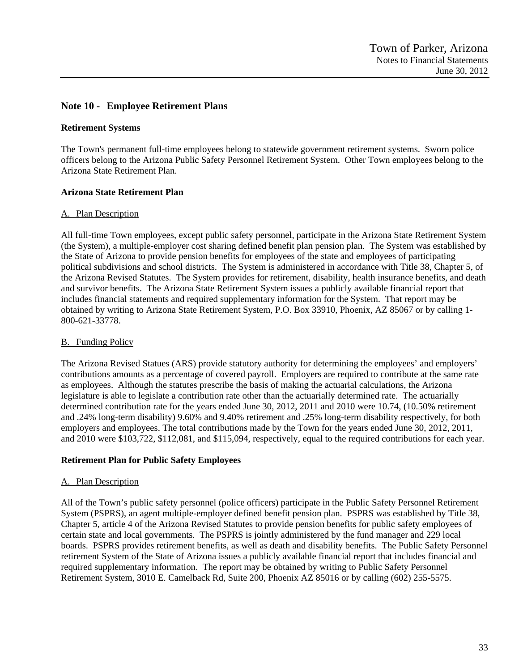## **Note 10 - Employee Retirement Plans**

#### **Retirement Systems**

The Town's permanent full-time employees belong to statewide government retirement systems. Sworn police officers belong to the Arizona Public Safety Personnel Retirement System. Other Town employees belong to the Arizona State Retirement Plan.

#### **Arizona State Retirement Plan**

#### A. Plan Description

All full-time Town employees, except public safety personnel, participate in the Arizona State Retirement System (the System), a multiple-employer cost sharing defined benefit plan pension plan. The System was established by the State of Arizona to provide pension benefits for employees of the state and employees of participating political subdivisions and school districts. The System is administered in accordance with Title 38, Chapter 5, of the Arizona Revised Statutes. The System provides for retirement, disability, health insurance benefits, and death and survivor benefits. The Arizona State Retirement System issues a publicly available financial report that includes financial statements and required supplementary information for the System. That report may be obtained by writing to Arizona State Retirement System, P.O. Box 33910, Phoenix, AZ 85067 or by calling 1- 800-621-33778.

### B. Funding Policy

The Arizona Revised Statues (ARS) provide statutory authority for determining the employees' and employers' contributions amounts as a percentage of covered payroll. Employers are required to contribute at the same rate as employees. Although the statutes prescribe the basis of making the actuarial calculations, the Arizona legislature is able to legislate a contribution rate other than the actuarially determined rate. The actuarially determined contribution rate for the years ended June 30, 2012, 2011 and 2010 were 10.74, (10.50% retirement and .24% long-term disability) 9.60% and 9.40% retirement and .25% long-term disability respectively, for both employers and employees. The total contributions made by the Town for the years ended June 30, 2012, 2011, and 2010 were \$103,722, \$112,081, and \$115,094, respectively, equal to the required contributions for each year.

### **Retirement Plan for Public Safety Employees**

### A. Plan Description

All of the Town's public safety personnel (police officers) participate in the Public Safety Personnel Retirement System (PSPRS), an agent multiple-employer defined benefit pension plan. PSPRS was established by Title 38, Chapter 5, article 4 of the Arizona Revised Statutes to provide pension benefits for public safety employees of certain state and local governments. The PSPRS is jointly administered by the fund manager and 229 local boards. PSPRS provides retirement benefits, as well as death and disability benefits. The Public Safety Personnel retirement System of the State of Arizona issues a publicly available financial report that includes financial and required supplementary information. The report may be obtained by writing to Public Safety Personnel Retirement System, 3010 E. Camelback Rd, Suite 200, Phoenix AZ 85016 or by calling (602) 255-5575.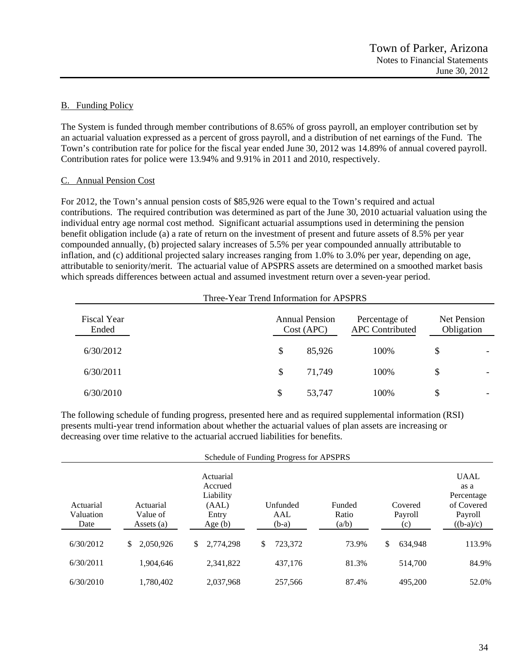# B. Funding Policy

The System is funded through member contributions of 8.65% of gross payroll, an employer contribution set by an actuarial valuation expressed as a percent of gross payroll, and a distribution of net earnings of the Fund. The Town's contribution rate for police for the fiscal year ended June 30, 2012 was 14.89% of annual covered payroll. Contribution rates for police were 13.94% and 9.91% in 2011 and 2010, respectively.

### C. Annual Pension Cost

For 2012, the Town's annual pension costs of \$85,926 were equal to the Town's required and actual contributions. The required contribution was determined as part of the June 30, 2010 actuarial valuation using the individual entry age normal cost method. Significant actuarial assumptions used in determining the pension benefit obligation include (a) a rate of return on the investment of present and future assets of 8.5% per year compounded annually, (b) projected salary increases of 5.5% per year compounded annually attributable to inflation, and (c) additional projected salary increases ranging from 1.0% to 3.0% per year, depending on age, attributable to seniority/merit. The actuarial value of APSPRS assets are determined on a smoothed market basis which spreads differences between actual and assumed investment return over a seven-year period.

| Three-Year Trend Information for APSPRS |    |                                     |                                         |                           |  |  |  |  |
|-----------------------------------------|----|-------------------------------------|-----------------------------------------|---------------------------|--|--|--|--|
| <b>Fiscal Year</b><br>Ended             |    | <b>Annual Pension</b><br>Cost (APC) | Percentage of<br><b>APC</b> Contributed | Net Pension<br>Obligation |  |  |  |  |
| 6/30/2012                               | \$ | 85,926                              | 100%                                    | S                         |  |  |  |  |
| 6/30/2011                               | \$ | 71.749                              | 100\%                                   | S                         |  |  |  |  |
| 6/30/2010                               | \$ | 53,747                              | 100%                                    | S                         |  |  |  |  |

The following schedule of funding progress, presented here and as required supplemental information (RSI) presents multi-year trend information about whether the actuarial values of plan assets are increasing or decreasing over time relative to the actuarial accrued liabilities for benefits.

|                                |                                     |                                                                  | Schedule of Funding Progress for APSPRS |                          |                           |                                                                           |
|--------------------------------|-------------------------------------|------------------------------------------------------------------|-----------------------------------------|--------------------------|---------------------------|---------------------------------------------------------------------------|
| Actuarial<br>Valuation<br>Date | Actuarial<br>Value of<br>Assets (a) | Actuarial<br>Accrued<br>Liability<br>(AAL)<br>Entry<br>Age $(b)$ | Unfunded<br>AAL<br>$(b-a)$              | Funded<br>Ratio<br>(a/b) | Covered<br>Payroll<br>(c) | <b>UAAL</b><br>as a<br>Percentage<br>of Covered<br>Payroll<br>$((b-a)/c)$ |
| 6/30/2012                      | 2,050,926<br>\$                     | 2,774,298<br>S.                                                  | \$<br>723,372                           | 73.9%                    | \$<br>634.948             | 113.9%                                                                    |
| 6/30/2011                      | 1.904.646                           | 2,341,822                                                        | 437,176                                 | 81.3%                    | 514,700                   | 84.9%                                                                     |
| 6/30/2010                      | 1.780.402                           | 2.037.968                                                        | 257,566                                 | 87.4%                    | 495,200                   | 52.0%                                                                     |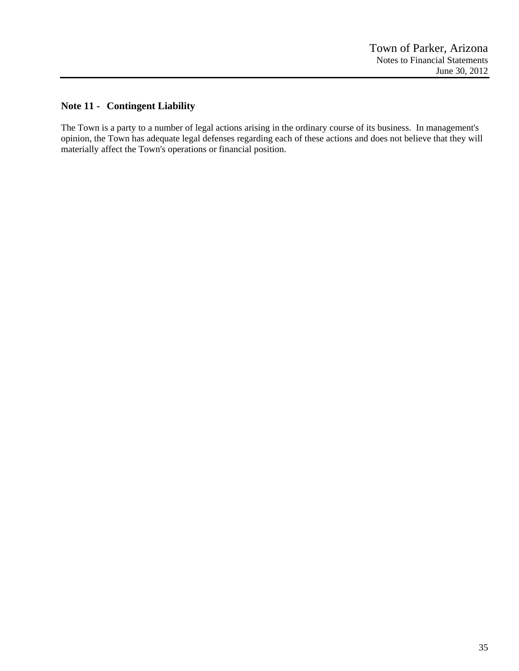# **Note 11 - Contingent Liability**

The Town is a party to a number of legal actions arising in the ordinary course of its business. In management's opinion, the Town has adequate legal defenses regarding each of these actions and does not believe that they will materially affect the Town's operations or financial position.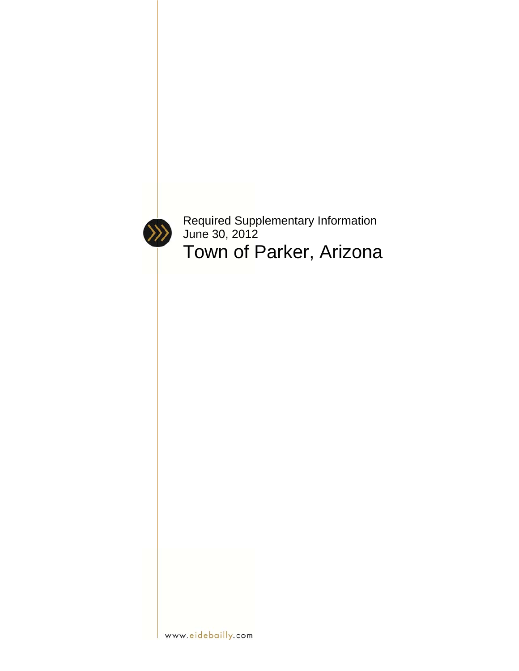

Required Supplementary Information June 30, 2012 Town of Parker, Arizona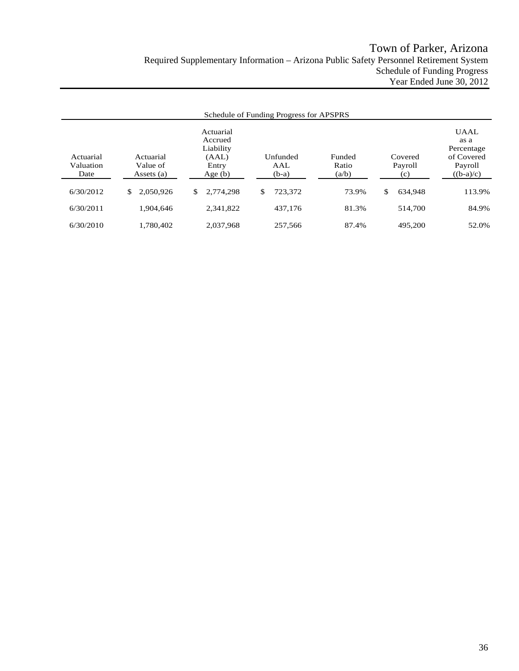|                                |                                     |                                                                  | Schedule of Funding Progress for APSPRS |                          |                           |                                                                           |
|--------------------------------|-------------------------------------|------------------------------------------------------------------|-----------------------------------------|--------------------------|---------------------------|---------------------------------------------------------------------------|
| Actuarial<br>Valuation<br>Date | Actuarial<br>Value of<br>Assets (a) | Actuarial<br>Accrued<br>Liability<br>(AAL)<br>Entry<br>Age $(b)$ | Unfunded<br>AAL<br>$(b-a)$              | Funded<br>Ratio<br>(a/b) | Covered<br>Payroll<br>(c) | <b>UAAL</b><br>as a<br>Percentage<br>of Covered<br>Payroll<br>$((b-a)/c)$ |
| 6/30/2012                      | 2.050.926<br>\$                     | 2,774,298<br>\$                                                  | \$<br>723,372                           | 73.9%                    | \$<br>634.948             | 113.9%                                                                    |
| 6/30/2011                      | 1.904.646                           | 2.341.822                                                        | 437,176                                 | 81.3%                    | 514,700                   | 84.9%                                                                     |
| 6/30/2010                      | 1.780.402                           | 2.037.968                                                        | 257,566                                 | 87.4%                    | 495.200                   | 52.0%                                                                     |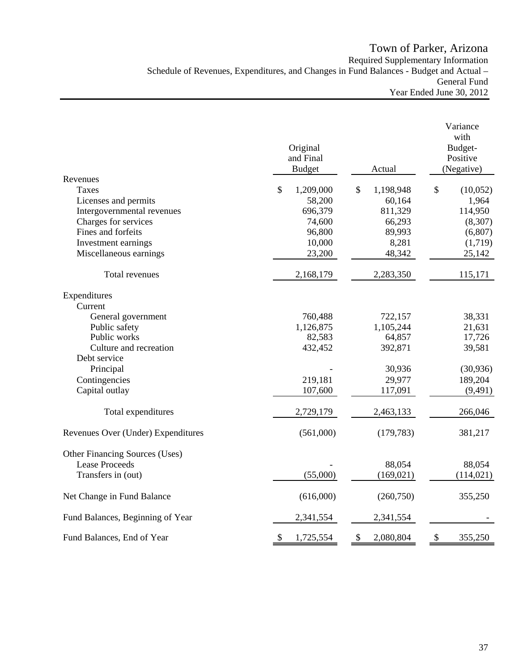Town of Parker, Arizona Required Supplementary Information Schedule of Revenues, Expenditures, and Changes in Fund Balances - Budget and Actual – General Fund Year Ended June 30, 2012

|                                    | Original<br>and Final<br><b>Budget</b> | Actual            | Variance<br>with<br>Budget-<br>Positive<br>(Negative) |  |  |
|------------------------------------|----------------------------------------|-------------------|-------------------------------------------------------|--|--|
| Revenues<br>Taxes                  | \$<br>1,209,000                        | \$<br>1,198,948   | \$<br>(10,052)                                        |  |  |
| Licenses and permits               | 58,200                                 | 60,164            | 1,964                                                 |  |  |
| Intergovernmental revenues         | 696,379                                | 811,329           | 114,950                                               |  |  |
| Charges for services               | 74,600                                 | 66,293            | (8,307)                                               |  |  |
| Fines and forfeits                 | 96,800                                 | 89,993            | (6,807)                                               |  |  |
| Investment earnings                | 10,000                                 | 8,281             | (1,719)                                               |  |  |
| Miscellaneous earnings             | 23,200                                 | 48,342            | 25,142                                                |  |  |
| Total revenues                     | 2,168,179                              | 2,283,350         | 115,171                                               |  |  |
| Expenditures                       |                                        |                   |                                                       |  |  |
| Current                            |                                        |                   |                                                       |  |  |
| General government                 | 760,488                                | 722,157           | 38,331                                                |  |  |
| Public safety<br>Public works      | 1,126,875                              | 1,105,244         | 21,631                                                |  |  |
| Culture and recreation             | 82,583<br>432,452                      | 64,857<br>392,871 | 17,726<br>39,581                                      |  |  |
| Debt service                       |                                        |                   |                                                       |  |  |
| Principal                          |                                        | 30,936            | (30, 936)                                             |  |  |
| Contingencies                      | 219,181                                | 29,977            | 189,204                                               |  |  |
| Capital outlay                     | 107,600                                | 117,091           | (9,491)                                               |  |  |
|                                    |                                        |                   |                                                       |  |  |
| Total expenditures                 | 2,729,179                              | 2,463,133         | 266,046                                               |  |  |
| Revenues Over (Under) Expenditures | (561,000)                              | (179, 783)        | 381,217                                               |  |  |
| Other Financing Sources (Uses)     |                                        |                   |                                                       |  |  |
| <b>Lease Proceeds</b>              |                                        | 88,054            | 88,054                                                |  |  |
| Transfers in (out)                 | (55,000)                               | (169, 021)        | (114, 021)                                            |  |  |
| Net Change in Fund Balance         | (616,000)                              | (260,750)         | 355,250                                               |  |  |
| Fund Balances, Beginning of Year   | 2,341,554                              | 2,341,554         |                                                       |  |  |
| Fund Balances, End of Year         | $\boldsymbol{\mathsf{S}}$<br>1,725,554 | 2,080,804<br>\$   | \$<br>355,250                                         |  |  |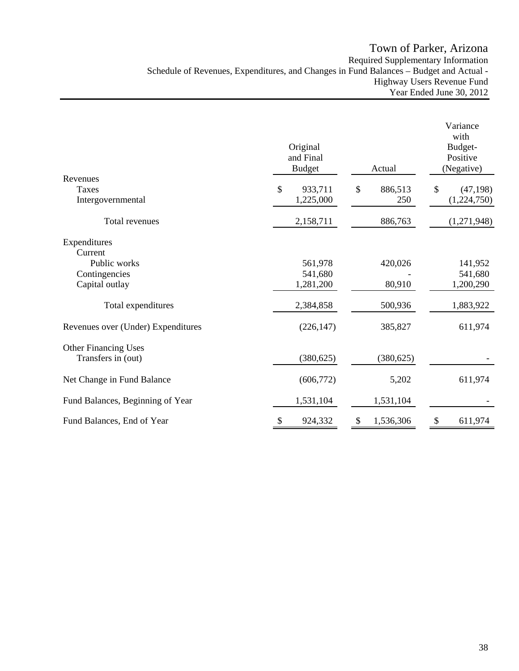# Town of Parker, Arizona Required Supplementary Information Schedule of Revenues, Expenditures, and Changes in Fund Balances – Budget and Actual - Highway Users Revenue Fund Year Ended June 30, 2012

|                                                   | Original<br>and Final<br><b>Budget</b> | Variance<br>with<br>Budget-<br>Positive<br>(Negative) |                         |
|---------------------------------------------------|----------------------------------------|-------------------------------------------------------|-------------------------|
| Revenues<br>Taxes                                 | \$<br>933,711                          | \$<br>886,513                                         | \$<br>(47, 198)         |
| Intergovernmental                                 | 1,225,000                              | 250                                                   | (1,224,750)             |
| Total revenues                                    | 2,158,711                              | 886,763                                               | (1,271,948)             |
| Expenditures                                      |                                        |                                                       |                         |
| Current<br>Public works                           | 561,978                                | 420,026                                               | 141,952                 |
| Contingencies                                     | 541,680                                |                                                       | 541,680                 |
| Capital outlay                                    | 1,281,200                              | 80,910                                                | 1,200,290               |
| Total expenditures                                | 2,384,858                              | 500,936                                               | 1,883,922               |
| Revenues over (Under) Expenditures                | (226, 147)                             | 385,827                                               | 611,974                 |
| <b>Other Financing Uses</b><br>Transfers in (out) | (380, 625)                             | (380, 625)                                            |                         |
| Net Change in Fund Balance                        | (606,772)                              | 5,202                                                 | 611,974                 |
| Fund Balances, Beginning of Year                  | 1,531,104                              | 1,531,104                                             |                         |
| Fund Balances, End of Year                        | 924,332                                | 1,536,306                                             | 611,974<br><sup>8</sup> |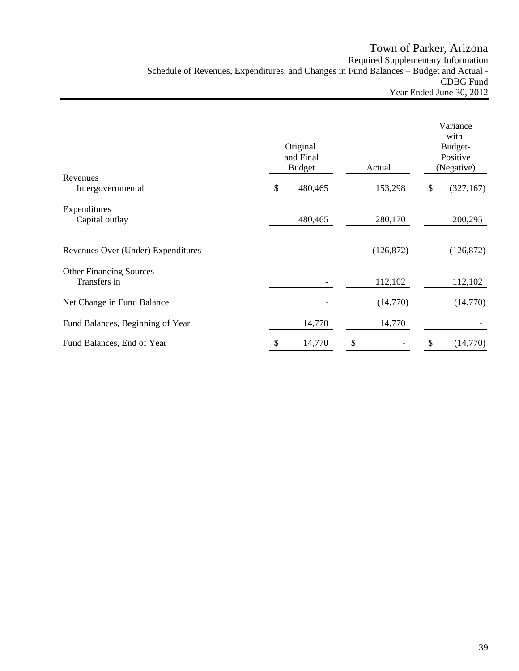# Town of Parker, Arizona Required Supplementary Information Schedule of Revenues, Expenditures, and Changes in Fund Balances – Budget and Actual - CDBG Fund Year Ended June 30, 2012

|                                    | Original<br>and Final<br><b>Budget</b><br>Actual |         |    |            |    | Variance<br>with<br>Budget-<br>Positive<br>(Negative) |  |  |
|------------------------------------|--------------------------------------------------|---------|----|------------|----|-------------------------------------------------------|--|--|
| Revenues<br>Intergovernmental      | \$                                               | 480,465 |    | 153,298    | \$ | (327, 167)                                            |  |  |
|                                    |                                                  |         |    |            |    |                                                       |  |  |
| Expenditures<br>Capital outlay     |                                                  | 480,465 |    | 280,170    |    | 200,295                                               |  |  |
|                                    |                                                  |         |    |            |    |                                                       |  |  |
| Revenues Over (Under) Expenditures |                                                  |         |    | (126, 872) |    | (126, 872)                                            |  |  |
| <b>Other Financing Sources</b>     |                                                  |         |    |            |    |                                                       |  |  |
| Transfers in                       |                                                  |         |    | 112,102    |    | 112,102                                               |  |  |
| Net Change in Fund Balance         |                                                  |         |    | (14,770)   |    | (14,770)                                              |  |  |
| Fund Balances, Beginning of Year   |                                                  | 14,770  |    | 14,770     |    |                                                       |  |  |
| Fund Balances, End of Year         | \$                                               | 14,770  | \$ |            | \$ | (14,770)                                              |  |  |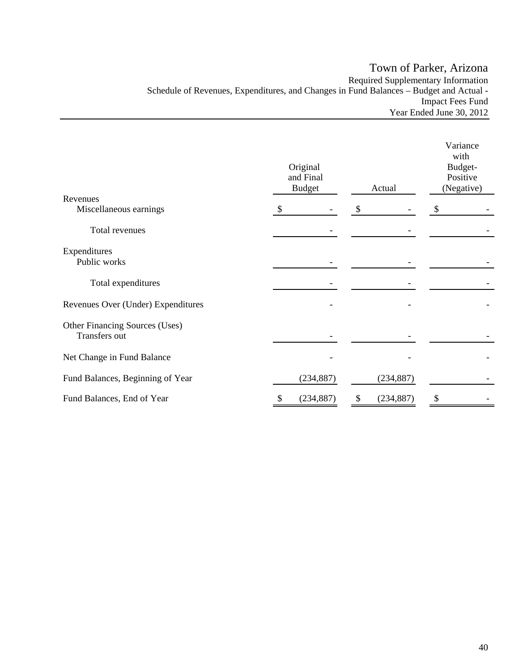# Town of Parker, Arizona Required Supplementary Information Schedule of Revenues, Expenditures, and Changes in Fund Balances – Budget and Actual - Impact Fees Fund Year Ended June 30, 2012

|                                                 | Original<br>and Final<br><b>Budget</b><br>Actual |            |    |            |    | Variance<br>with<br>Budget-<br>Positive<br>(Negative) |  |
|-------------------------------------------------|--------------------------------------------------|------------|----|------------|----|-------------------------------------------------------|--|
| Revenues<br>Miscellaneous earnings              | <sup>\$</sup>                                    |            | \$ |            | \$ |                                                       |  |
| Total revenues                                  |                                                  |            |    |            |    |                                                       |  |
| Expenditures<br>Public works                    |                                                  |            |    |            |    |                                                       |  |
| Total expenditures                              |                                                  |            |    |            |    |                                                       |  |
| Revenues Over (Under) Expenditures              |                                                  |            |    |            |    |                                                       |  |
| Other Financing Sources (Uses)<br>Transfers out |                                                  |            |    |            |    |                                                       |  |
| Net Change in Fund Balance                      |                                                  |            |    |            |    |                                                       |  |
| Fund Balances, Beginning of Year                |                                                  | (234, 887) |    | (234, 887) |    |                                                       |  |
| Fund Balances, End of Year                      |                                                  | (234, 887) | S  | (234, 887) | S  |                                                       |  |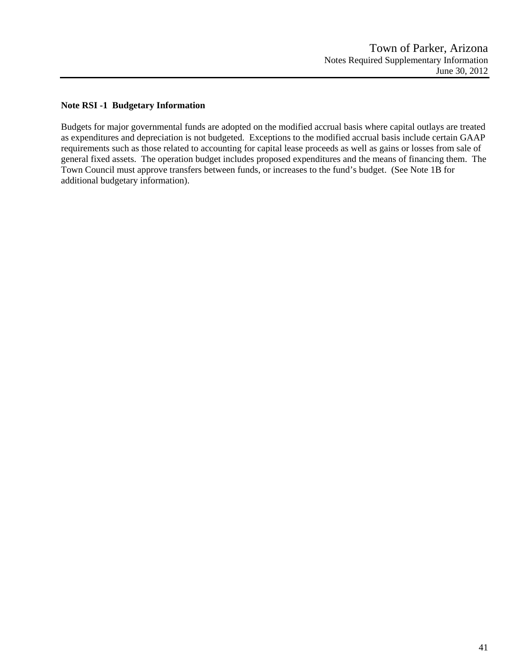### **Note RSI -1 Budgetary Information**

Budgets for major governmental funds are adopted on the modified accrual basis where capital outlays are treated as expenditures and depreciation is not budgeted. Exceptions to the modified accrual basis include certain GAAP requirements such as those related to accounting for capital lease proceeds as well as gains or losses from sale of general fixed assets. The operation budget includes proposed expenditures and the means of financing them. The Town Council must approve transfers between funds, or increases to the fund's budget. (See Note 1B for additional budgetary information).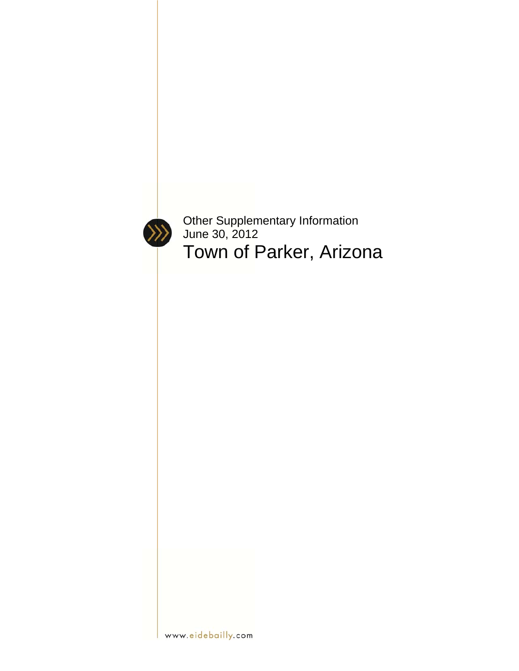

Other Supplementary Information June 30, 2012 Town of Parker, Arizona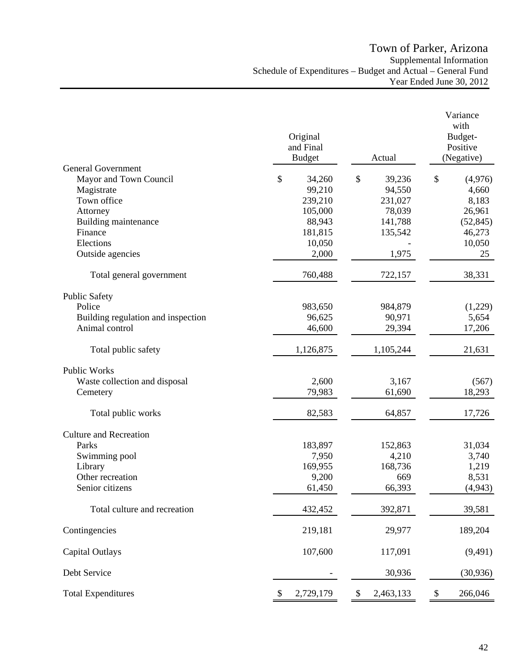|                                    | Original<br>and Final<br><b>Budget</b> | Variance<br>with<br>Budget-<br>Positive<br>(Negative) |                     |
|------------------------------------|----------------------------------------|-------------------------------------------------------|---------------------|
| <b>General Government</b>          |                                        |                                                       |                     |
| Mayor and Town Council             | \$<br>34,260                           | \$<br>39,236                                          | \$<br>(4,976)       |
| Magistrate                         | 99,210                                 | 94,550                                                | 4,660               |
| Town office                        | 239,210<br>105,000                     | 231,027                                               | 8,183               |
| Attorney                           |                                        | 78,039                                                | 26,961              |
| Building maintenance<br>Finance    | 88,943<br>181,815                      | 141,788<br>135,542                                    | (52, 845)<br>46,273 |
| Elections                          | 10,050                                 |                                                       | 10,050              |
| Outside agencies                   | 2,000                                  | 1,975                                                 | 25                  |
|                                    |                                        |                                                       |                     |
| Total general government           | 760,488                                | 722,157                                               | 38,331              |
| <b>Public Safety</b>               |                                        |                                                       |                     |
| Police                             | 983,650                                | 984,879                                               | (1,229)             |
| Building regulation and inspection | 96,625                                 | 90,971                                                | 5,654               |
| Animal control                     | 46,600                                 | 29,394                                                | 17,206              |
| Total public safety                | 1,126,875                              | 1,105,244                                             | 21,631              |
| <b>Public Works</b>                |                                        |                                                       |                     |
| Waste collection and disposal      | 2,600                                  | 3,167                                                 | (567)               |
| Cemetery                           | 79,983                                 | 61,690                                                | 18,293              |
| Total public works                 | 82,583                                 | 64,857                                                | 17,726              |
| <b>Culture and Recreation</b>      |                                        |                                                       |                     |
| Parks                              | 183,897                                | 152,863                                               | 31,034              |
| Swimming pool                      | 7,950                                  | 4,210                                                 | 3,740               |
| Library                            | 169,955                                | 168,736                                               | 1,219               |
| Other recreation                   | 9,200                                  | 669                                                   | 8,531               |
| Senior citizens                    | 61,450                                 | 66,393                                                | (4,943)             |
| Total culture and recreation       | 432,452                                | 392,871                                               | 39,581              |
| Contingencies                      | 219,181                                | 29,977                                                | 189,204             |
| Capital Outlays                    | 107,600                                | 117,091                                               | (9,491)             |
| Debt Service                       |                                        | 30,936                                                | (30, 936)           |
| <b>Total Expenditures</b>          | 2,729,179<br>P.                        | 2,463,133<br>$\mathcal{L}$                            | 266,046<br>\$       |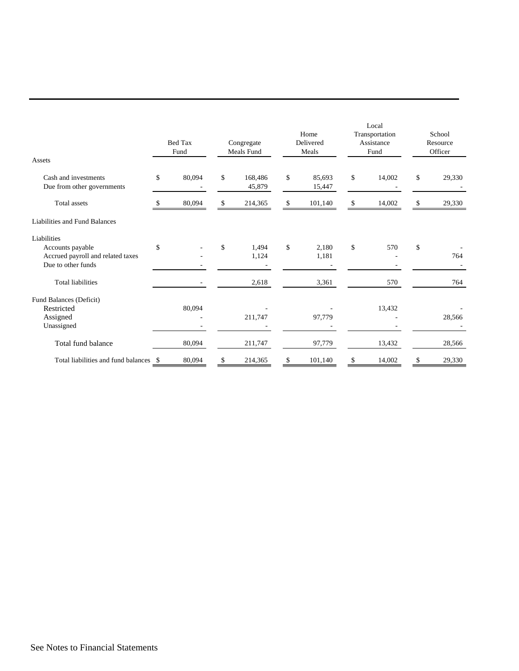|                                                                                            |     | <b>Bed Tax</b><br>Fund | Congregate<br>Meals Fund | Home<br>Delivered<br>Meals |                  | Local<br>Transportation<br>Assistance<br>Fund |        | School<br>Resource<br>Officer |        |
|--------------------------------------------------------------------------------------------|-----|------------------------|--------------------------|----------------------------|------------------|-----------------------------------------------|--------|-------------------------------|--------|
| Assets                                                                                     |     |                        |                          |                            |                  |                                               |        |                               |        |
| Cash and investments<br>Due from other governments                                         | \$. | 80,094                 | \$<br>168,486<br>45,879  | \$                         | 85,693<br>15,447 | $\mathbb{S}$                                  | 14,002 | \$                            | 29,330 |
| Total assets                                                                               |     | 80,094                 | \$<br>214,365            | \$                         | 101,140          | \$                                            | 14,002 | \$                            | 29,330 |
| Liabilities and Fund Balances                                                              |     |                        |                          |                            |                  |                                               |        |                               |        |
| Liabilities<br>Accounts payable<br>Accrued payroll and related taxes<br>Due to other funds | \$  |                        | \$<br>1,494<br>1,124     | \$                         | 2,180<br>1,181   | $\mathbb{S}$                                  | 570    | \$                            | 764    |
| <b>Total liabilities</b>                                                                   |     |                        | 2,618                    |                            | 3,361            |                                               | 570    |                               | 764    |
| Fund Balances (Deficit)<br>Restricted<br>Assigned<br>Unassigned                            |     | 80,094                 | 211,747                  |                            | 97,779           |                                               | 13,432 |                               | 28,566 |
| Total fund balance                                                                         |     | 80,094                 | 211,747                  |                            | 97,779           |                                               | 13,432 |                               | 28,566 |
| Total liabilities and fund balances                                                        | -\$ | 80,094                 | \$<br>214,365            | S                          | 101,140          | \$                                            | 14,002 | \$                            | 29,330 |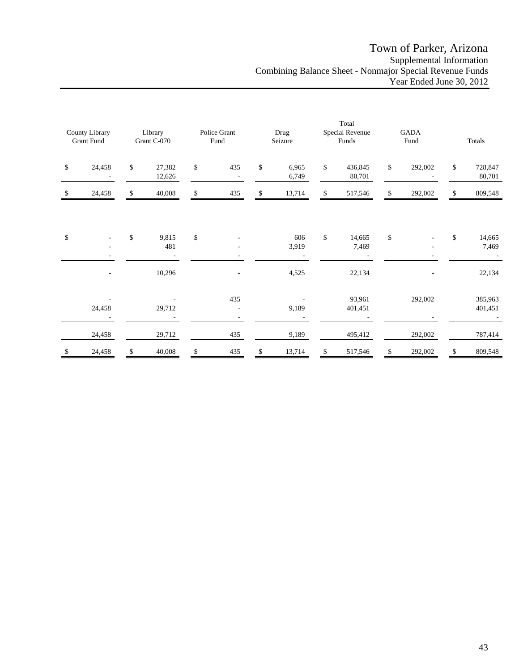# Town of Parker, Arizona Supplemental Information Combining Balance Sheet - Nonmajor Special Revenue Funds Year Ended June 30, 2012

| County Library<br><b>Grant Fund</b> |        | Library<br>Grant C-070 |    | Police Grant<br>Fund            |    | Drug<br>Seizure |              | Total<br>Special Revenue<br>Funds |              | <b>GADA</b><br>Fund |              | Totals             |  |
|-------------------------------------|--------|------------------------|----|---------------------------------|----|-----------------|--------------|-----------------------------------|--------------|---------------------|--------------|--------------------|--|
| \$                                  | 24,458 | \$<br>27,382<br>12,626 | \$ | 435<br>$\overline{\phantom{a}}$ | \$ | 6,965<br>6,749  | $\mathbb{S}$ | 436,845<br>80,701                 | \$           | 292,002             | $\mathbb{S}$ | 728,847<br>80,701  |  |
| \$                                  | 24,458 | \$<br>40,008           | \$ | 435                             | \$ | 13,714          | \$           | 517,546                           | \$           | 292,002             | \$           | 809,548            |  |
| \$                                  |        | \$<br>9,815<br>481     | \$ |                                 |    | 606<br>3,919    | \$           | 14,665<br>7,469                   | $\mathbb{S}$ |                     | \$           | 14,665<br>7,469    |  |
|                                     |        | 10,296                 |    |                                 |    | 4,525           |              | 22,134                            |              |                     |              | 22,134             |  |
|                                     | 24,458 | 29,712                 |    | 435                             |    | 9,189           |              | 93,961<br>401,451                 |              | 292,002             |              | 385,963<br>401,451 |  |
|                                     | 24,458 | 29,712                 |    | 435                             |    | 9,189           |              | 495,412                           |              | 292,002             |              | 787,414            |  |
| \$                                  | 24,458 | \$<br>40,008           | \$ | 435                             | \$ | 13,714          | \$           | 517,546                           | \$           | 292,002             | \$           | 809,548            |  |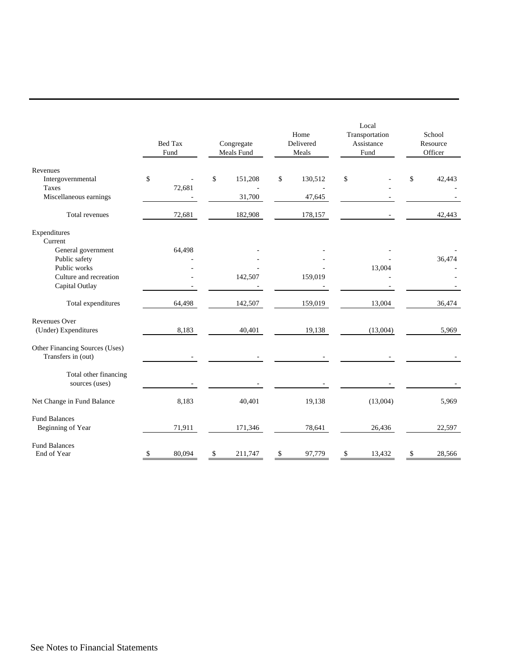|                                                      | Bed Tax<br>Fund | Congregate<br>Meals Fund |         |    | Home<br>Delivered<br>Meals |    | Local<br>Transportation<br>Assistance<br>Fund |    | School<br>Resource<br>Officer |  |
|------------------------------------------------------|-----------------|--------------------------|---------|----|----------------------------|----|-----------------------------------------------|----|-------------------------------|--|
| Revenues                                             |                 |                          |         |    |                            |    |                                               |    |                               |  |
| Intergovernmental                                    | \$              | \$                       | 151,208 | \$ | 130,512                    | \$ |                                               | \$ | 42,443                        |  |
| <b>Taxes</b>                                         | 72,681          |                          |         |    |                            |    |                                               |    |                               |  |
| Miscellaneous earnings                               |                 |                          | 31,700  |    | 47,645                     |    |                                               |    |                               |  |
| <b>Total revenues</b>                                | 72,681          |                          | 182,908 |    | 178,157                    |    |                                               |    | 42,443                        |  |
| Expenditures                                         |                 |                          |         |    |                            |    |                                               |    |                               |  |
| Current                                              |                 |                          |         |    |                            |    |                                               |    |                               |  |
| General government                                   | 64,498          |                          |         |    |                            |    |                                               |    |                               |  |
| Public safety                                        |                 |                          |         |    |                            |    |                                               |    | 36,474                        |  |
| Public works                                         |                 |                          |         |    |                            |    | 13,004                                        |    |                               |  |
| Culture and recreation                               |                 |                          | 142,507 |    | 159,019                    |    |                                               |    |                               |  |
| Capital Outlay                                       |                 |                          |         |    |                            |    |                                               |    |                               |  |
| Total expenditures                                   | 64,498          |                          | 142,507 |    | 159,019                    |    | 13,004                                        |    | 36,474                        |  |
| <b>Revenues Over</b>                                 |                 |                          |         |    |                            |    |                                               |    |                               |  |
| (Under) Expenditures                                 | 8,183           |                          | 40,401  |    | 19,138                     |    | (13,004)                                      |    | 5,969                         |  |
| Other Financing Sources (Uses)<br>Transfers in (out) |                 |                          |         |    |                            |    |                                               |    |                               |  |
| Total other financing<br>sources (uses)              |                 |                          |         |    |                            |    |                                               |    |                               |  |
| Net Change in Fund Balance                           | 8,183           |                          | 40,401  |    | 19,138                     |    | (13,004)                                      |    | 5,969                         |  |
| <b>Fund Balances</b><br>Beginning of Year            | 71,911          |                          | 171,346 |    | 78,641                     |    | 26,436                                        |    | 22,597                        |  |
|                                                      |                 |                          |         |    |                            |    |                                               |    |                               |  |
| <b>Fund Balances</b><br>End of Year                  | 80,094          |                          |         |    | 97,779                     |    |                                               |    |                               |  |
|                                                      | \$              | \$                       | 211,747 | \$ |                            | \$ | 13,432                                        | \$ | 28,566                        |  |